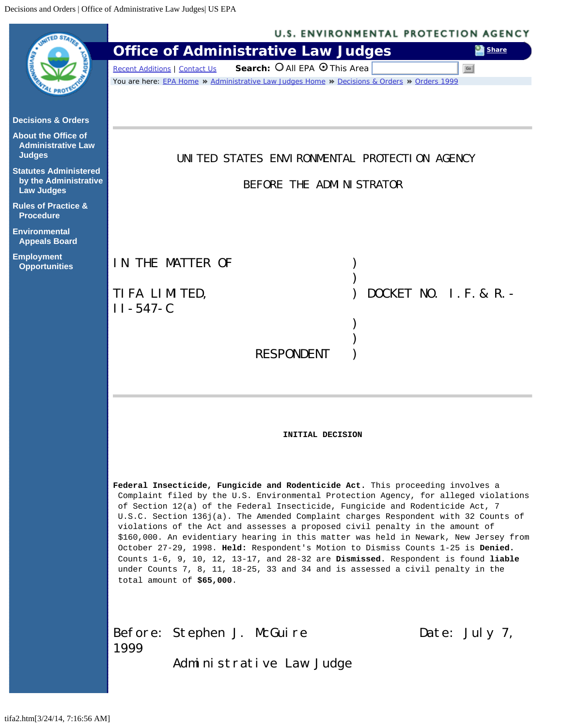<span id="page-0-0"></span>

|                                                                            | <b>U.S. ENVIRONMENTAL PROTECTION AGENCY</b>                                                                                                                                                                                                                                                                                                                                                                                                                                                                                                                                                                                                                                                                                                                                                                                   |
|----------------------------------------------------------------------------|-------------------------------------------------------------------------------------------------------------------------------------------------------------------------------------------------------------------------------------------------------------------------------------------------------------------------------------------------------------------------------------------------------------------------------------------------------------------------------------------------------------------------------------------------------------------------------------------------------------------------------------------------------------------------------------------------------------------------------------------------------------------------------------------------------------------------------|
|                                                                            | <b>Office of Administrative Law Judges</b><br>Share                                                                                                                                                                                                                                                                                                                                                                                                                                                                                                                                                                                                                                                                                                                                                                           |
|                                                                            | Search: O All EPA O This Area<br><b>Recent Additions   Contact Us</b><br>Go                                                                                                                                                                                                                                                                                                                                                                                                                                                                                                                                                                                                                                                                                                                                                   |
|                                                                            | You are here: EPA Home » Administrative Law Judges Home » Decisions & Orders » Orders 1999                                                                                                                                                                                                                                                                                                                                                                                                                                                                                                                                                                                                                                                                                                                                    |
| <b>Decisions &amp; Orders</b>                                              |                                                                                                                                                                                                                                                                                                                                                                                                                                                                                                                                                                                                                                                                                                                                                                                                                               |
| <b>About the Office of</b><br><b>Administrative Law</b><br><b>Judges</b>   | UNITED STATES ENVIRONMENTAL PROTECTION AGENCY                                                                                                                                                                                                                                                                                                                                                                                                                                                                                                                                                                                                                                                                                                                                                                                 |
| <b>Statutes Administered</b><br>by the Administrative<br><b>Law Judges</b> | BEFORE THE ADMINISTRATOR                                                                                                                                                                                                                                                                                                                                                                                                                                                                                                                                                                                                                                                                                                                                                                                                      |
| <b>Rules of Practice &amp;</b><br><b>Procedure</b>                         |                                                                                                                                                                                                                                                                                                                                                                                                                                                                                                                                                                                                                                                                                                                                                                                                                               |
| <b>Environmental</b><br><b>Appeals Board</b>                               |                                                                                                                                                                                                                                                                                                                                                                                                                                                                                                                                                                                                                                                                                                                                                                                                                               |
| <b>Employment</b><br><b>Opportunities</b>                                  | IN THE MATTER OF                                                                                                                                                                                                                                                                                                                                                                                                                                                                                                                                                                                                                                                                                                                                                                                                              |
|                                                                            | DOCKET NO. I. F. & R. $-$<br>TIFA LIMITED,                                                                                                                                                                                                                                                                                                                                                                                                                                                                                                                                                                                                                                                                                                                                                                                    |
|                                                                            | $II - 547 - C$                                                                                                                                                                                                                                                                                                                                                                                                                                                                                                                                                                                                                                                                                                                                                                                                                |
|                                                                            |                                                                                                                                                                                                                                                                                                                                                                                                                                                                                                                                                                                                                                                                                                                                                                                                                               |
|                                                                            |                                                                                                                                                                                                                                                                                                                                                                                                                                                                                                                                                                                                                                                                                                                                                                                                                               |
|                                                                            | <b>RESPONDENT</b>                                                                                                                                                                                                                                                                                                                                                                                                                                                                                                                                                                                                                                                                                                                                                                                                             |
|                                                                            |                                                                                                                                                                                                                                                                                                                                                                                                                                                                                                                                                                                                                                                                                                                                                                                                                               |
|                                                                            |                                                                                                                                                                                                                                                                                                                                                                                                                                                                                                                                                                                                                                                                                                                                                                                                                               |
|                                                                            | INITIAL DECISION                                                                                                                                                                                                                                                                                                                                                                                                                                                                                                                                                                                                                                                                                                                                                                                                              |
|                                                                            | Federal Insecticide, Fungicide and Rodenticide Act. This proceeding involves a<br>Complaint filed by the U.S. Environmental Protection Agency, for alleged violations<br>of Section 12(a) of the Federal Insecticide, Fungicide and Rodenticide Act, 7<br>U.S.C. Section 136j(a). The Amended Complaint charges Respondent with 32 Counts of<br>violations of the Act and assesses a proposed civil penalty in the amount of<br>\$160,000. An evidentiary hearing in this matter was held in Newark, New Jersey from<br>October 27-29, 1998. Held: Respondent's Motion to Dismiss Counts 1-25 is Denied.<br>Counts $1-6$ , 9, 10, 12, 13-17, and 28-32 are <b>Dismissed.</b> Respondent is found <b>liable</b><br>under Counts 7, 8, 11, 18-25, 33 and 34 and is assessed a civil penalty in the<br>total amount of \$65,000. |
|                                                                            | Before: Stephen J. McGuire<br>Date: July 7,<br>1999<br>Administrative Law Judge                                                                                                                                                                                                                                                                                                                                                                                                                                                                                                                                                                                                                                                                                                                                               |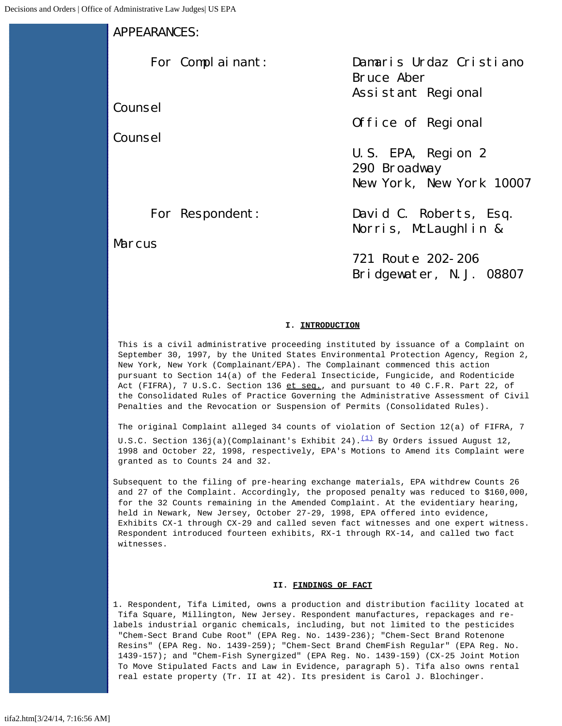# APPEARANCES:

Counsel

Counsel

 For Complainant: Damaris Urdaz Cristiano Bruce Aber Assistant Regional

Office of Regional

 U.S. EPA, Region 2 290 Broadway New York, New York 10007

**Marcus** 

For Respondent: David C. Roberts, Esq. Norris, McLaughlin &

> 721 Route 202-206 Bridgewater, N.J. 08807

# **I. INTRODUCTION**

This is a civil administrative proceeding instituted by issuance of a Complaint on September 30, 1997, by the United States Environmental Protection Agency, Region 2, New York, New York (Complainant/EPA). The Complainant commenced this action pursuant to Section 14(a) of the Federal Insecticide, Fungicide, and Rodenticide Act (FIFRA), 7 U.S.C. Section 136 et seq., and pursuant to 40 C.F.R. Part 22, of the Consolidated Rules of Practice Governing the Administrative Assessment of Civil Penalties and the Revocation or Suspension of Permits (Consolidated Rules).

The original Complaint alleged 34 counts of violation of Section 12(a) of FIFRA, 7 U.S.C. Section 136j(a)(Complainant's Exhibit 24). $(1)$  By Orders issued August 12, 1998 and October 22, 1998, respectively, EPA's Motions to Amend its Complaint were granted as to Counts 24 and 32.

Subsequent to the filing of pre-hearing exchange materials, EPA withdrew Counts 26 and 27 of the Complaint. Accordingly, the proposed penalty was reduced to \$160,000, for the 32 Counts remaining in the Amended Complaint. At the evidentiary hearing, held in Newark, New Jersey, October 27-29, 1998, EPA offered into evidence, Exhibits CX-1 through CX-29 and called seven fact witnesses and one expert witness. Respondent introduced fourteen exhibits, RX-1 through RX-14, and called two fact witnesses.

# **II. FINDINGS OF FACT**

1. Respondent, Tifa Limited, owns a production and distribution facility located at Tifa Square, Millington, New Jersey. Respondent manufactures, repackages and relabels industrial organic chemicals, including, but not limited to the pesticides "Chem-Sect Brand Cube Root" (EPA Reg. No. 1439-236); "Chem-Sect Brand Rotenone Resins" (EPA Reg. No. 1439-259); "Chem-Sect Brand ChemFish Regular" (EPA Reg. No. 1439-157); and "Chem-Fish Synergized" (EPA Reg. No. 1439-159) (CX-25 Joint Motion To Move Stipulated Facts and Law in Evidence, paragraph 5). Tifa also owns rental real estate property (Tr. II at 42). Its president is Carol J. Blochinger.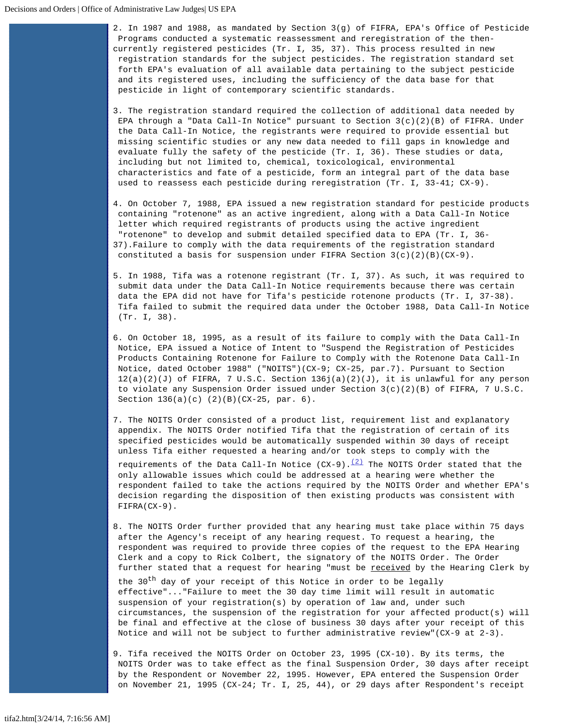2. In 1987 and 1988, as mandated by Section 3(g) of FIFRA, EPA's Office of Pesticide Programs conducted a systematic reassessment and reregistration of the thencurrently registered pesticides (Tr. I, 35, 37). This process resulted in new registration standards for the subject pesticides. The registration standard set forth EPA's evaluation of all available data pertaining to the subject pesticide and its registered uses, including the sufficiency of the data base for that pesticide in light of contemporary scientific standards.

- 3. The registration standard required the collection of additional data needed by EPA through a "Data Call-In Notice" pursuant to Section  $3(c)(2)(B)$  of FIFRA. Under the Data Call-In Notice, the registrants were required to provide essential but missing scientific studies or any new data needed to fill gaps in knowledge and evaluate fully the safety of the pesticide (Tr. I, 36). These studies or data, including but not limited to, chemical, toxicological, environmental characteristics and fate of a pesticide, form an integral part of the data base used to reassess each pesticide during reregistration (Tr. I, 33-41; CX-9).
- 4. On October 7, 1988, EPA issued a new registration standard for pesticide products containing "rotenone" as an active ingredient, along with a Data Call-In Notice letter which required registrants of products using the active ingredient "rotenone" to develop and submit detailed specified data to EPA (Tr. I, 36- 37).Failure to comply with the data requirements of the registration standard constituted a basis for suspension under FIFRA Section  $3(c)(2)(B)(CX-9)$ .
- 5. In 1988, Tifa was a rotenone registrant (Tr. I, 37). As such, it was required to submit data under the Data Call-In Notice requirements because there was certain data the EPA did not have for Tifa's pesticide rotenone products (Tr. I, 37-38). Tifa failed to submit the required data under the October 1988, Data Call-In Notice (Tr. I, 38).
- 6. On October 18, 1995, as a result of its failure to comply with the Data Call-In Notice, EPA issued a Notice of Intent to "Suspend the Registration of Pesticides Products Containing Rotenone for Failure to Comply with the Rotenone Data Call-In Notice, dated October 1988" ("NOITS")(CX-9; CX-25, par.7). Pursuant to Section  $12(a)(2)(J)$  of FIFRA, 7 U.S.C. Section  $136j(a)(2)(J)$ , it is unlawful for any person to violate any Suspension Order issued under Section  $3(c)(2)(B)$  of FIFRA, 7 U.S.C. Section 136(a)(c) (2)(B)(CX-25, par. 6).
- 7. The NOITS Order consisted of a product list, requirement list and explanatory appendix. The NOITS Order notified Tifa that the registration of certain of its specified pesticides would be automatically suspended within 30 days of receipt unless Tifa either requested a hearing and/or took steps to comply with the

requirements of the Data Call-In Notice  $(CX-9) \cdot \frac{(2)}{2}$  The NOITS Order stated that the only allowable issues which could be addressed at a hearing were whether the respondent failed to take the actions required by the NOITS Order and whether EPA's decision regarding the disposition of then existing products was consistent with FIFRA(CX-9).

8. The NOITS Order further provided that any hearing must take place within 75 days after the Agency's receipt of any hearing request. To request a hearing, the respondent was required to provide three copies of the request to the EPA Hearing Clerk and a copy to Rick Colbert, the signatory of the NOITS Order. The Order further stated that a request for hearing "must be received by the Hearing Clerk by the 30<sup>th</sup> day of your receipt of this Notice in order to be legally effective"..."Failure to meet the 30 day time limit will result in automatic suspension of your registration(s) by operation of law and, under such circumstances, the suspension of the registration for your affected product(s) will be final and effective at the close of business 30 days after your receipt of this Notice and will not be subject to further administrative review"(CX-9 at 2-3).

9. Tifa received the NOITS Order on October 23, 1995 (CX-10). By its terms, the NOITS Order was to take effect as the final Suspension Order, 30 days after receipt by the Respondent or November 22, 1995. However, EPA entered the Suspension Order on November 21, 1995 (CX-24; Tr. I, 25, 44), or 29 days after Respondent's receipt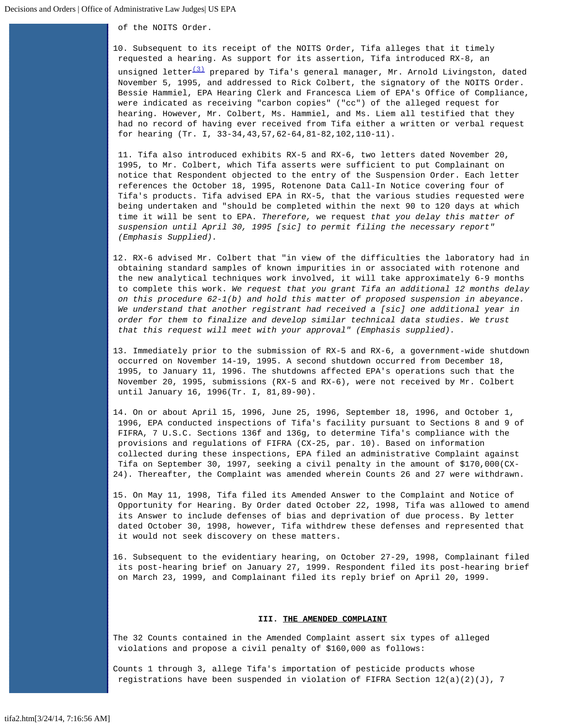of the NOITS Order.

10. Subsequent to its receipt of the NOITS Order, Tifa alleges that it timely requested a hearing. As support for its assertion, Tifa introduced RX-8, an

unsigned letter<sup>(3)</sup> prepared by Tifa's general manager, Mr. Arnold Livingston, dated November 5, 1995, and addressed to Rick Colbert, the signatory of the NOITS Order. Bessie Hammiel, EPA Hearing Clerk and Francesca Liem of EPA's Office of Compliance, were indicated as receiving "carbon copies" ("cc") of the alleged request for hearing. However, Mr. Colbert, Ms. Hammiel, and Ms. Liem all testified that they had no record of having ever received from Tifa either a written or verbal request for hearing (Tr. I, 33-34,43,57,62-64,81-82,102,110-11).

11. Tifa also introduced exhibits RX-5 and RX-6, two letters dated November 20, 1995, to Mr. Colbert, which Tifa asserts were sufficient to put Complainant on notice that Respondent objected to the entry of the Suspension Order. Each letter references the October 18, 1995, Rotenone Data Call-In Notice covering four of Tifa's products. Tifa advised EPA in RX-5, that the various studies requested were being undertaken and "should be completed within the next 90 to 120 days at which time it will be sent to EPA. *Therefore,* we request *that you delay this matter of suspension until April 30, 1995 [sic] to permit filing the necessary report" (Emphasis Supplied).*

- 12. RX-6 advised Mr. Colbert that "in view of the difficulties the laboratory had in obtaining standard samples of known impurities in or associated with rotenone and the new analytical techniques work involved, it will take approximately 6-9 months to complete this work. *We request that you grant Tifa an additional 12 months delay on this procedure 62-1(b) and hold this matter of proposed suspension in abeyance. We understand that another registrant had received a [sic] one additional year in order for them to finalize and develop similar technical data studies. We trust that this request will meet with your approval" (Emphasis supplied).*
- 13*.* Immediately prior to the submission of RX-5 and RX-6, a government-wide shutdown occurred on November 14-19, 1995. A second shutdown occurred from December 18, 1995, to January 11, 1996. The shutdowns affected EPA's operations such that the November 20, 1995, submissions (RX-5 and RX-6), were not received by Mr. Colbert until January 16, 1996(Tr. I, 81,89-90).
- 14. On or about April 15, 1996, June 25, 1996, September 18, 1996, and October 1, 1996, EPA conducted inspections of Tifa's facility pursuant to Sections 8 and 9 of FIFRA, 7 U.S.C. Sections 136f and 136g, to determine Tifa's compliance with the provisions and regulations of FIFRA (CX-25, par. 10). Based on information collected during these inspections, EPA filed an administrative Complaint against Tifa on September 30, 1997, seeking a civil penalty in the amount of \$170,000(CX-24). Thereafter, the Complaint was amended wherein Counts 26 and 27 were withdrawn.
- 15. On May 11, 1998, Tifa filed its Amended Answer to the Complaint and Notice of Opportunity for Hearing. By Order dated October 22, 1998, Tifa was allowed to amend its Answer to include defenses of bias and deprivation of due process. By letter dated October 30, 1998, however, Tifa withdrew these defenses and represented that it would not seek discovery on these matters.
- 16. Subsequent to the evidentiary hearing, on October 27-29, 1998, Complainant filed its post-hearing brief on January 27, 1999. Respondent filed its post-hearing brief on March 23, 1999, and Complainant filed its reply brief on April 20, 1999.

### **III. THE AMENDED COMPLAINT**

The 32 Counts contained in the Amended Complaint assert six types of alleged violations and propose a civil penalty of \$160,000 as follows:

Counts 1 through 3, allege Tifa's importation of pesticide products whose registrations have been suspended in violation of FIFRA Section  $12(a)(2)(J)$ , 7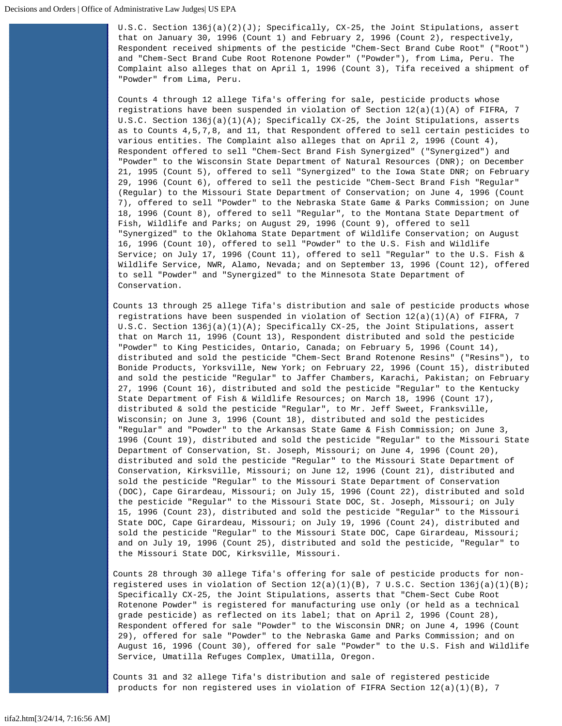U.S.C. Section 136j(a)(2)(J); Specifically, CX-25, the Joint Stipulations, assert that on January 30, 1996 (Count 1) and February 2, 1996 (Count 2), respectively, Respondent received shipments of the pesticide "Chem-Sect Brand Cube Root" ("Root") and "Chem-Sect Brand Cube Root Rotenone Powder" ("Powder"), from Lima, Peru. The Complaint also alleges that on April 1, 1996 (Count 3), Tifa received a shipment of "Powder" from Lima, Peru.

Counts 4 through 12 allege Tifa's offering for sale, pesticide products whose registrations have been suspended in violation of Section  $12(a)(1)(A)$  of FIFRA, 7 U.S.C. Section 136j(a)(1)(A); Specifically CX-25, the Joint Stipulations, asserts as to Counts 4,5,7,8, and 11, that Respondent offered to sell certain pesticides to various entities. The Complaint also alleges that on April 2, 1996 (Count 4), Respondent offered to sell "Chem-Sect Brand Fish Synergized" ("Synergized") and "Powder" to the Wisconsin State Department of Natural Resources (DNR); on December 21, 1995 (Count 5), offered to sell "Synergized" to the Iowa State DNR; on February 29, 1996 (Count 6), offered to sell the pesticide "Chem-Sect Brand Fish "Regular" (Regular) to the Missouri State Department of Conservation; on June 4, 1996 (Count 7), offered to sell "Powder" to the Nebraska State Game & Parks Commission; on June 18, 1996 (Count 8), offered to sell "Regular", to the Montana State Department of Fish, Wildlife and Parks; on August 29, 1996 (Count 9), offered to sell "Synergized" to the Oklahoma State Department of Wildlife Conservation; on August 16, 1996 (Count 10), offered to sell "Powder" to the U.S. Fish and Wildlife Service; on July 17, 1996 (Count 11), offered to sell "Regular" to the U.S. Fish & Wildlife Service, NWR, Alamo, Nevada; and on September 13, 1996 (Count 12), offered to sell "Powder" and "Synergized" to the Minnesota State Department of Conservation.

Counts 13 through 25 allege Tifa's distribution and sale of pesticide products whose registrations have been suspended in violation of Section  $12(a)(1)(A)$  of FIFRA, 7 U.S.C. Section 136j(a)(1)(A); Specifically CX-25, the Joint Stipulations, assert that on March 11, 1996 (Count 13), Respondent distributed and sold the pesticide "Powder" to King Pesticides, Ontario, Canada; on February 5, 1996 (Count 14), distributed and sold the pesticide "Chem-Sect Brand Rotenone Resins" ("Resins"), to Bonide Products, Yorksville, New York; on February 22, 1996 (Count 15), distributed and sold the pesticide "Regular" to Jaffer Chambers, Karachi, Pakistan; on February 27, 1996 (Count 16), distributed and sold the pesticide "Regular" to the Kentucky State Department of Fish & Wildlife Resources; on March 18, 1996 (Count 17), distributed & sold the pesticide "Regular", to Mr. Jeff Sweet, Franksville, Wisconsin; on June 3, 1996 (Count 18), distributed and sold the pesticides "Regular" and "Powder" to the Arkansas State Game & Fish Commission; on June 3, 1996 (Count 19), distributed and sold the pesticide "Regular" to the Missouri State Department of Conservation, St. Joseph, Missouri; on June 4, 1996 (Count 20), distributed and sold the pesticide "Regular" to the Missouri State Department of Conservation, Kirksville, Missouri; on June 12, 1996 (Count 21), distributed and sold the pesticide "Regular" to the Missouri State Department of Conservation (DOC), Cape Girardeau, Missouri; on July 15, 1996 (Count 22), distributed and sold the pesticide "Regular" to the Missouri State DOC, St. Joseph, Missouri; on July 15, 1996 (Count 23), distributed and sold the pesticide "Regular" to the Missouri State DOC, Cape Girardeau, Missouri; on July 19, 1996 (Count 24), distributed and sold the pesticide "Regular" to the Missouri State DOC, Cape Girardeau, Missouri; and on July 19, 1996 (Count 25), distributed and sold the pesticide, "Regular" to the Missouri State DOC, Kirksville, Missouri.

Counts 28 through 30 allege Tifa's offering for sale of pesticide products for nonregistered uses in violation of Section  $12(a)(1)(B)$ , 7 U.S.C. Section  $136j(a)(1)(B)$ ; Specifically CX-25, the Joint Stipulations, asserts that "Chem-Sect Cube Root Rotenone Powder" is registered for manufacturing use only (or held as a technical grade pesticide) as reflected on its label; that on April 2, 1996 (Count 28), Respondent offered for sale "Powder" to the Wisconsin DNR; on June 4, 1996 (Count 29), offered for sale "Powder" to the Nebraska Game and Parks Commission; and on August 16, 1996 (Count 30), offered for sale "Powder" to the U.S. Fish and Wildlife Service, Umatilla Refuges Complex, Umatilla, Oregon.

Counts 31 and 32 allege Tifa's distribution and sale of registered pesticide products for non registered uses in violation of FIFRA Section  $12(a)(1)(B)$ , 7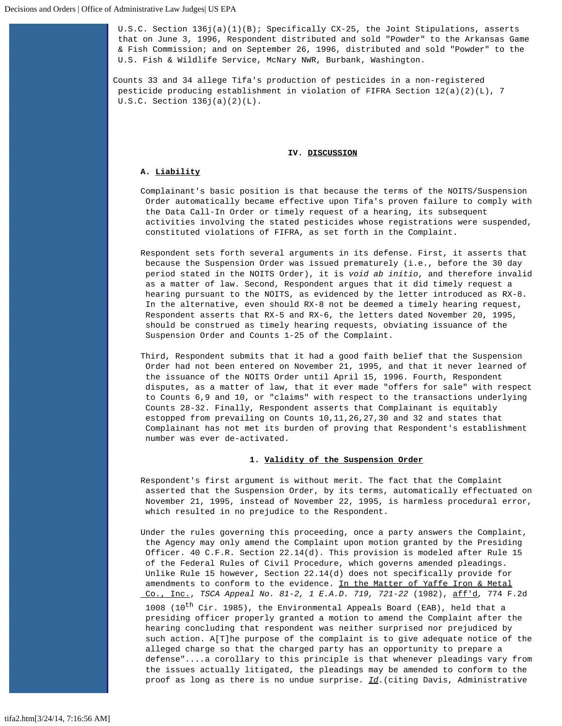U.S.C. Section 136j(a)(1)(B); Specifically CX-25, the Joint Stipulations, asserts that on June 3, 1996, Respondent distributed and sold "Powder" to the Arkansas Game & Fish Commission; and on September 26, 1996, distributed and sold "Powder" to the U.S. Fish & Wildlife Service, McNary NWR, Burbank, Washington.

Counts 33 and 34 allege Tifa's production of pesticides in a non-registered pesticide producing establishment in violation of FIFRA Section 12(a)(2)(L), 7 U.S.C. Section 136j(a)(2)(L).

### **IV. DISCUSSION**

# **A. Liability**

- Complainant's basic position is that because the terms of the NOITS/Suspension Order automatically became effective upon Tifa's proven failure to comply with the Data Call-In Order or timely request of a hearing, its subsequent activities involving the stated pesticides whose registrations were suspended, constituted violations of FIFRA, as set forth in the Complaint.
- Respondent sets forth several arguments in its defense. First, it asserts that because the Suspension Order was issued prematurely (i.e., before the 30 day period stated in the NOITS Order), it is *void ab initio*, and therefore invalid as a matter of law. Second, Respondent argues that it did timely request a hearing pursuant to the NOITS, as evidenced by the letter introduced as RX-8. In the alternative, even should RX-8 not be deemed a timely hearing request, Respondent asserts that RX-5 and RX-6, the letters dated November 20, 1995, should be construed as timely hearing requests, obviating issuance of the Suspension Order and Counts 1-25 of the Complaint.
- Third, Respondent submits that it had a good faith belief that the Suspension Order had not been entered on November 21, 1995, and that it never learned of the issuance of the NOITS Order until April 15, 1996. Fourth, Respondent disputes, as a matter of law, that it ever made "offers for sale" with respect to Counts 6,9 and 10, or "claims" with respect to the transactions underlying Counts 28-32. Finally, Respondent asserts that Complainant is equitably estopped from prevailing on Counts 10,11,26,27,30 and 32 and states that Complainant has not met its burden of proving that Respondent's establishment number was ever de-activated.

### **1. Validity of the Suspension Order**

- Respondent's first argument is without merit. The fact that the Complaint asserted that the Suspension Order, by its terms, automatically effectuated on November 21, 1995, instead of November 22, 1995, is harmless procedural error, which resulted in no prejudice to the Respondent.
- Under the rules governing this proceeding, once a party answers the Complaint, the Agency may only amend the Complaint upon motion granted by the Presiding Officer. 40 C.F.R. Section 22.14(d). This provision is modeled after Rule 15 of the Federal Rules of Civil Procedure, which governs amended pleadings. Unlike Rule 15 however, Section 22.14(d) does not specifically provide for amendments to conform to the evidence. In the Matter of Yaffe Iron & Metal Co., Inc., *TSCA Appeal No. 81-2, 1 E.A.D. 719, 721-22* (1982), aff'd*,* 774 F.2d 1008 (10<sup>th</sup> Cir. 1985), the Environmental Appeals Board (EAB), held that a presiding officer properly granted a motion to amend the Complaint after the hearing concluding that respondent was neither surprised nor prejudiced by such action. A[T]he purpose of the complaint is to give adequate notice of the alleged charge so that the charged party has an opportunity to prepare a defense"*....*a corollary to this principle is that whenever pleadings vary from the issues actually litigated, the pleadings may be amended to conform to the proof as long as there is no undue surprise. *Id*.(citing Davis, Administrative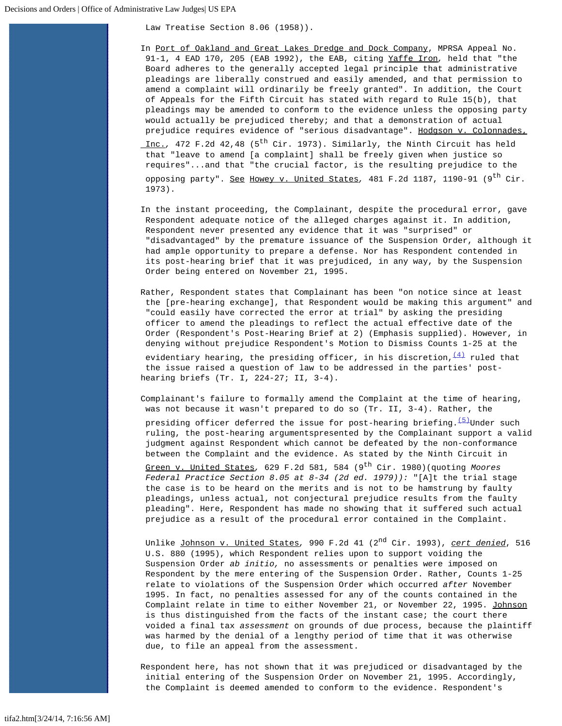Law Treatise Section 8.06 (1958)).

In Port of Oakland and Great Lakes Dredge and Dock Company, MPRSA Appeal No. 91-1, 4 EAD 170, 205 (EAB 1992), the EAB, citing Yaffe Iron*,* held that "the Board adheres to the generally accepted legal principle that administrative pleadings are liberally construed and easily amended, and that permission to amend a complaint will ordinarily be freely granted". In addition, the Court of Appeals for the Fifth Circuit has stated with regard to Rule 15(b), that pleadings may be amended to conform to the evidence unless the opposing party would actually be prejudiced thereby; and that a demonstration of actual prejudice requires evidence of "serious disadvantage". Hodgson v. Colonnades,

 Inc.*,* 472 F.2d 42,48 (5th Cir. 1973). Similarly, the Ninth Circuit has held that "leave to amend [a complaint] shall be freely given when justice so requires"...and that "the crucial factor, is the resulting prejudice to the opposing party". See Howey v. United States*,* 481 F.2d 1187, 1190-91 (9th Cir. 1973).

In the instant proceeding, the Complainant, despite the procedural error, gave Respondent adequate notice of the alleged charges against it. In addition, Respondent never presented any evidence that it was "surprised" or "disadvantaged" by the premature issuance of the Suspension Order, although it had ample opportunity to prepare a defense. Nor has Respondent contended in its post-hearing brief that it was prejudiced, in any way, by the Suspension Order being entered on November 21, 1995.

Rather, Respondent states that Complainant has been "on notice since at least the [pre-hearing exchange], that Respondent would be making this argument" and "could easily have corrected the error at trial" by asking the presiding officer to amend the pleadings to reflect the actual effective date of the Order (Respondent's Post-Hearing Brief at 2) (Emphasis supplied). However, in denying without prejudice Respondent's Motion to Dismiss Counts 1-25 at the evidentiary hearing, the presiding officer, in his discretion,  $\frac{(4)}{4}$  $\frac{(4)}{4}$  $\frac{(4)}{4}$  ruled that

 the issue raised a question of law to be addressed in the parties' posthearing briefs (Tr. I, 224-27; II, 3-4).

Complainant's failure to formally amend the Complaint at the time of hearing, was not because it wasn't prepared to do so (Tr. II, 3-4). Rather, the

presiding officer deferred the issue for post-hearing briefing.<sup>[\(5\)](#page-24-4)</sup>Under such ruling, the post-hearing argumentspresented by the Complainant support a valid judgment against Respondent which cannot be defeated by the non-conformance between the Complaint and the evidence. As stated by the Ninth Circuit in

Green v. United States, 629 F.2d 581, 584 (9<sup>th</sup> Cir. 1980)(quoting *Moores Federal Practice Section 8.05 at 8-34 (2d ed. 1979)):* "[A]t the trial stage the case is to be heard on the merits and is not to be hamstrung by faulty pleadings, unless actual, not conjectural prejudice results from the faulty pleading". Here, Respondent has made no showing that it suffered such actual prejudice as a result of the procedural error contained in the Complaint.

 Unlike Johnson v. United States*,* 990 F.2d 41 (2nd Cir. 1993), *cert denied*, 516 U.S. 880 (1995), which Respondent relies upon to support voiding the Suspension Order *ab initio,* no assessments or penalties were imposed on Respondent by the mere entering of the Suspension Order. Rather, Counts 1-25 relate to violations of the Suspension Order which occurred *after* November 1995. In fact, no penalties assessed for any of the counts contained in the Complaint relate in time to either November 21, or November 22, 1995. Johnson is thus distinguished from the facts of the instant case; the court there voided a final tax *assessment* on grounds of due process, because the plaintiff was harmed by the denial of a lengthy period of time that it was otherwise due, to file an appeal from the assessment.

Respondent here, has not shown that it was prejudiced or disadvantaged by the initial entering of the Suspension Order on November 21, 1995. Accordingly, the Complaint is deemed amended to conform to the evidence. Respondent's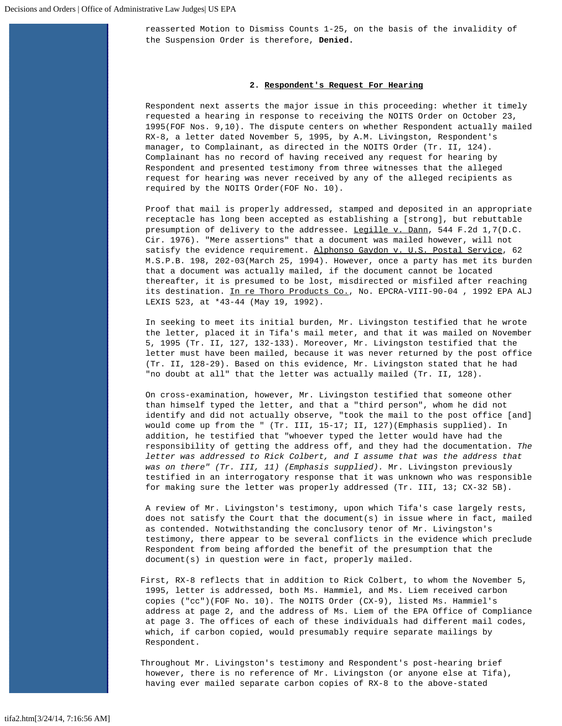reasserted Motion to Dismiss Counts 1-25, on the basis of the invalidity of the Suspension Order is therefore, **Denied.**

### **2. Respondent's Request For Hearing**

Respondent next asserts the major issue in this proceeding: whether it timely requested a hearing in response to receiving the NOITS Order on October 23, 1995(FOF Nos. 9,10). The dispute centers on whether Respondent actually mailed RX-8, a letter dated November 5, 1995, by A.M. Livingston, Respondent's manager, to Complainant, as directed in the NOITS Order (Tr. II, 124). Complainant has no record of having received any request for hearing by Respondent and presented testimony from three witnesses that the alleged request for hearing was never received by any of the alleged recipients as required by the NOITS Order(FOF No. 10).

Proof that mail is properly addressed, stamped and deposited in an appropriate receptacle has long been accepted as establishing a [strong], but rebuttable presumption of delivery to the addressee. Legille v. Dann, 544 F.2d 1,7(D.C. Cir. 1976). "Mere assertions" that a document was mailed however, will not satisfy the evidence requirement. Alphonso Gaydon v. U.S. Postal Service, 62 M.S.P.B. 198, 202-03(March 25, 1994). However, once a party has met its burden that a document was actually mailed, if the document cannot be located thereafter, it is presumed to be lost, misdirected or misfiled after reaching its destination. In re Thoro Products Co., No. EPCRA-VIII-90-04, 1992 EPA ALJ LEXIS 523, at \*43-44 (May 19, 1992).

In seeking to meet its initial burden, Mr. Livingston testified that he wrote the letter, placed it in Tifa's mail meter, and that it was mailed on November 5, 1995 (Tr. II, 127, 132-133). Moreover, Mr. Livingston testified that the letter must have been mailed, because it was never returned by the post office (Tr. II, 128-29). Based on this evidence, Mr. Livingston stated that he had "no doubt at all" that the letter was actually mailed (Tr. II, 128).

On cross-examination, however, Mr. Livingston testified that someone other than himself typed the letter, and that a "third person", whom he did not identify and did not actually observe, "took the mail to the post office [and] would come up from the " (Tr. III, 15-17; II, 127)(Emphasis supplied). In addition, he testified that "whoever typed the letter would have had the responsibility of getting the address off, and they had the documentation. *The letter was addressed to Rick Colbert, and I assume that was the address that was on there" (Tr. III, 11) (Emphasis supplied).* Mr. Livingston previously testified in an interrogatory response that it was unknown who was responsible for making sure the letter was properly addressed (Tr. III, 13; CX-32 5B).

A review of Mr. Livingston's testimony, upon which Tifa's case largely rests, does not satisfy the Court that the document(s) in issue where in fact, mailed as contended. Notwithstanding the conclusory tenor of Mr. Livingston's testimony, there appear to be several conflicts in the evidence which preclude Respondent from being afforded the benefit of the presumption that the document(s) in question were in fact, properly mailed.

First, RX-8 reflects that in addition to Rick Colbert, to whom the November 5, 1995, letter is addressed, both Ms. Hammiel, and Ms. Liem received carbon copies ("cc")(FOF No. 10). The NOITS Order (CX-9), listed Ms. Hammiel's address at page 2, and the address of Ms. Liem of the EPA Office of Compliance at page 3. The offices of each of these individuals had different mail codes, which, if carbon copied, would presumably require separate mailings by Respondent.

Throughout Mr. Livingston's testimony and Respondent's post-hearing brief however, there is no reference of Mr. Livingston (or anyone else at Tifa), having ever mailed separate carbon copies of RX-8 to the above-stated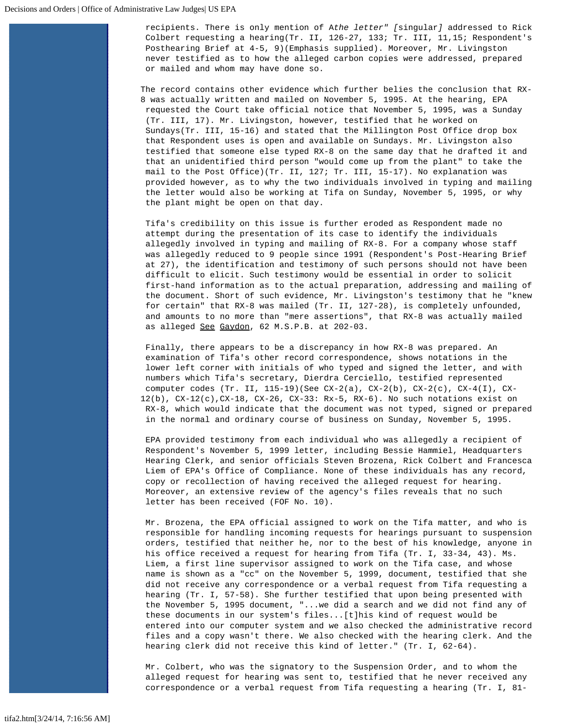recipients. There is only mention of A*the letter" [*singular*]* addressed to Rick Colbert requesting a hearing(Tr. II, 126-27, 133; Tr. III, 11,15; Respondent's Posthearing Brief at 4-5, 9)(Emphasis supplied). Moreover, Mr. Livingston never testified as to how the alleged carbon copies were addressed, prepared or mailed and whom may have done so.

The record contains other evidence which further belies the conclusion that RX-8 was actually written and mailed on November 5, 1995. At the hearing, EPA requested the Court take official notice that November 5, 1995, was a Sunday (Tr. III, 17). Mr. Livingston, however, testified that he worked on Sundays(Tr. III, 15-16) and stated that the Millington Post Office drop box that Respondent uses is open and available on Sundays. Mr. Livingston also testified that someone else typed RX-8 on the same day that he drafted it and that an unidentified third person "would come up from the plant" to take the mail to the Post Office)(Tr. II, 127; Tr. III, 15-17). No explanation was provided however, as to why the two individuals involved in typing and mailing the letter would also be working at Tifa on Sunday, November 5, 1995, or why the plant might be open on that day.

 Tifa's credibility on this issue is further eroded as Respondent made no attempt during the presentation of its case to identify the individuals allegedly involved in typing and mailing of RX-8. For a company whose staff was allegedly reduced to 9 people since 1991 (Respondent's Post-Hearing Brief at 27), the identification and testimony of such persons should not have been difficult to elicit. Such testimony would be essential in order to solicit first-hand information as to the actual preparation, addressing and mailing of the document. Short of such evidence, Mr. Livingston's testimony that he "knew for certain" that RX-8 was mailed (Tr. II, 127-28), is completely unfounded, and amounts to no more than "mere assertions", that RX-8 was actually mailed as alleged See Gaydon, 62 M.S.P.B. at 202-03.

Finally, there appears to be a discrepancy in how RX-8 was prepared. An examination of Tifa's other record correspondence, shows notations in the lower left corner with initials of who typed and signed the letter, and with numbers which Tifa's secretary, Dierdra Cerciello, testified represented computer codes (Tr. II, 115-19)(See CX-2(a), CX-2(b), CX-2(c), CX-4(I), CX-12(b), CX-12(c),CX-18, CX-26, CX-33: Rx-5, RX-6). No such notations exist on RX-8, which would indicate that the document was not typed, signed or prepared in the normal and ordinary course of business on Sunday, November 5, 1995.

EPA provided testimony from each individual who was allegedly a recipient of Respondent's November 5, 1999 letter, including Bessie Hammiel, Headquarters Hearing Clerk, and senior officials Steven Brozena, Rick Colbert and Francesca Liem of EPA's Office of Compliance. None of these individuals has any record, copy or recollection of having received the alleged request for hearing. Moreover, an extensive review of the agency's files reveals that no such letter has been received (FOF No. 10).

Mr. Brozena, the EPA official assigned to work on the Tifa matter, and who is responsible for handling incoming requests for hearings pursuant to suspension orders, testified that neither he, nor to the best of his knowledge, anyone in his office received a request for hearing from Tifa (Tr. I, 33-34, 43). Ms. Liem, a first line supervisor assigned to work on the Tifa case, and whose name is shown as a "cc" on the November 5, 1999, document, testified that she did not receive any correspondence or a verbal request from Tifa requesting a hearing (Tr. I, 57-58). She further testified that upon being presented with the November 5, 1995 document, "...we did a search and we did not find any of these documents in our system's files...[t]his kind of request would be entered into our computer system and we also checked the administrative record files and a copy wasn't there. We also checked with the hearing clerk. And the hearing clerk did not receive this kind of letter." (Tr. I, 62-64).

Mr. Colbert, who was the signatory to the Suspension Order, and to whom the alleged request for hearing was sent to, testified that he never received any correspondence or a verbal request from Tifa requesting a hearing (Tr. I, 81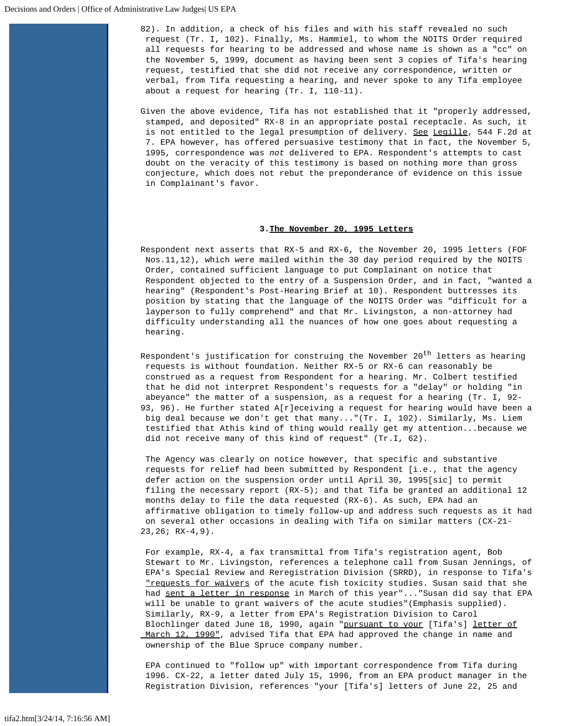82). In addition, a check of his files and with his staff revealed no such request (Tr. I, 102). Finally, Ms. Hammiel, to whom the NOITS Order required all requests for hearing to be addressed and whose name is shown as a "cc" on the November 5, 1999, document as having been sent 3 copies of Tifa's hearing request, testified that she did not receive any correspondence, written or verbal, from Tifa requesting a hearing, and never spoke to any Tifa employee about a request for hearing (Tr. I, 110-11).

Given the above evidence, Tifa has not established that it "properly addressed, stamped, and deposited" RX-8 in an appropriate postal receptacle. As such, it is not entitled to the legal presumption of delivery. See Legille, 544 F.2d at 7. EPA however, has offered persuasive testimony that in fact, the November 5, 1995, correspondence was *not* delivered to EPA. Respondent's attempts to cast doubt on the veracity of this testimony is based on nothing more than gross conjecture, which does not rebut the preponderance of evidence on this issue in Complainant's favor.

### **3.The November 20, 1995 Letters**

Respondent next asserts that RX-5 and RX-6, the November 20, 1995 letters (FOF Nos.11,12), which were mailed within the 30 day period required by the NOITS Order, contained sufficient language to put Complainant on notice that Respondent objected to the entry of a Suspension Order, and in fact, "wanted a hearing" (Respondent's Post-Hearing Brief at 10). Respondent buttresses its position by stating that the language of the NOITS Order was "difficult for a layperson to fully comprehend" and that Mr. Livingston, a non-attorney had difficulty understanding all the nuances of how one goes about requesting a hearing.

Respondent's justification for construing the November 20<sup>th</sup> letters as hearing requests is without foundation. Neither RX-5 or RX-6 can reasonably be construed as a request from Respondent for a hearing. Mr. Colbert testified that he did not interpret Respondent's requests for a "delay" or holding "in abeyance" the matter of a suspension, as a request for a hearing (Tr. I, 92- 93, 96). He further stated A[r]eceiving a request for hearing would have been a big deal because we don't get that many..."(Tr. I, 102). Similarly, Ms. Liem testified that Athis kind of thing would really get my attention...because we did not receive many of this kind of request" (Tr.I, 62).

The Agency was clearly on notice however, that specific and substantive requests for relief had been submitted by Respondent [i.e., that the agency defer action on the suspension order until April 30, 1995[sic] to permit filing the necessary report  $(RX-5)$ ; and that Tifa be granted an additional 12 months delay to file the data requested (RX-6). As such, EPA had an affirmative obligation to timely follow-up and address such requests as it had on several other occasions in dealing with Tifa on similar matters (CX-21-  $23,26; RX-4,9$ .

For example, RX-4, a fax transmittal from Tifa's registration agent, Bob Stewart to Mr. Livingston, references a telephone call from Susan Jennings, of EPA's Special Review and Reregistration Division (SRRD), in response to Tifa's "requests for waivers of the acute fish toxicity studies. Susan said that she had sent a letter in response in March of this year"... "Susan did say that EPA will be unable to grant waivers of the acute studies"(Emphasis supplied). Similarly, RX-9, a letter from EPA's Registration Division to Carol Blochlinger dated June 18, 1990, again "pursuant to your [Tifa's] letter of March 12, 1990", advised Tifa that EPA had approved the change in name and ownership of the Blue Spruce company number.

EPA continued to "follow up" with important correspondence from Tifa during 1996. CX-22, a letter dated July 15, 1996, from an EPA product manager in the Registration Division, references "your [Tifa's] letters of June 22, 25 and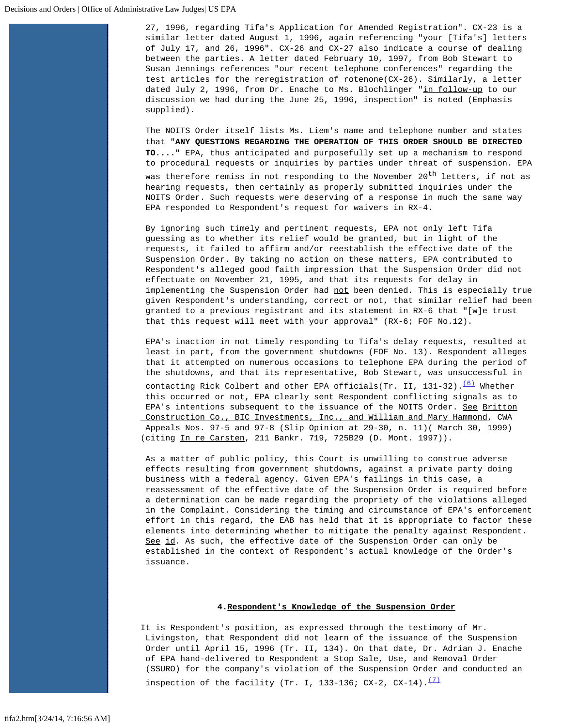27, 1996, regarding Tifa's Application for Amended Registration". CX-23 is a similar letter dated August 1, 1996, again referencing "your [Tifa's] letters of July 17, and 26, 1996". CX-26 and CX-27 also indicate a course of dealing between the parties. A letter dated February 10, 1997, from Bob Stewart to Susan Jennings references "our recent telephone conferences" regarding the test articles for the reregistration of rotenone(CX-26). Similarly, a letter dated July 2, 1996, from Dr. Enache to Ms. Blochlinger "in follow-up to our discussion we had during the June 25, 1996, inspection" is noted (Emphasis supplied).

The NOITS Order itself lists Ms. Liem's name and telephone number and states that "**ANY QUESTIONS REGARDING THE OPERATION OF THIS ORDER SHOULD BE DIRECTED TO...."** EPA, thus anticipated and purposefully set up a mechanism to respond to procedural requests or inquiries by parties under threat of suspension. EPA

was therefore remiss in not responding to the November 20<sup>th</sup> letters, if not as hearing requests, then certainly as properly submitted inquiries under the NOITS Order. Such requests were deserving of a response in much the same way EPA responded to Respondent's request for waivers in RX-4.

By ignoring such timely and pertinent requests, EPA not only left Tifa guessing as to whether its relief would be granted, but in light of the requests, it failed to affirm and/or reestablish the effective date of the Suspension Order. By taking no action on these matters, EPA contributed to Respondent's alleged good faith impression that the Suspension Order did not effectuate on November 21, 1995, and that its requests for delay in implementing the Suspension Order had not been denied. This is especially true given Respondent's understanding, correct or not, that similar relief had been granted to a previous registrant and its statement in RX-6 that "[w]e trust that this request will meet with your approval" (RX-6; FOF No.12).

EPA's inaction in not timely responding to Tifa's delay requests, resulted at least in part, from the government shutdowns (FOF No. 13). Respondent alleges that it attempted on numerous occasions to telephone EPA during the period of the shutdowns, and that its representative, Bob Stewart, was unsuccessful in contacting Rick Colbert and other EPA officials(Tr. II, 131-32). $(6)$  Whether this occurred or not, EPA clearly sent Respondent conflicting signals as to

EPA's intentions subsequent to the issuance of the NOITS Order. See Britton Construction Co., BIC Investments, Inc., and William and Mary Hammond, CWA Appeals Nos. 97-5 and 97-8 (Slip Opinion at 29-30, n. 11)( March 30, 1999) (citing In re Carsten, 211 Bankr. 719, 725B29 (D. Mont. 1997)).

As a matter of public policy, this Court is unwilling to construe adverse effects resulting from government shutdowns, against a private party doing business with a federal agency. Given EPA's failings in this case, a reassessment of the effective date of the Suspension Order is required before a determination can be made regarding the propriety of the violations alleged in the Complaint. Considering the timing and circumstance of EPA's enforcement effort in this regard, the EAB has held that it is appropriate to factor these elements into determining whether to mitigate the penalty against Respondent. See id. As such, the effective date of the Suspension Order can only be established in the context of Respondent's actual knowledge of the Order's issuance.

# **4.Respondent's Knowledge of the Suspension Order**

It is Respondent's position, as expressed through the testimony of Mr. Livingston, that Respondent did not learn of the issuance of the Suspension Order until April 15, 1996 (Tr. II, 134). On that date, Dr. Adrian J. Enache of EPA hand-delivered to Respondent a Stop Sale, Use, and Removal Order (SSURO) for the company's violation of the Suspension Order and conducted an inspection of the facility (Tr. I, 133-136; CX-2, CX-14). $\frac{(7)}{2}$  $\frac{(7)}{2}$  $\frac{(7)}{2}$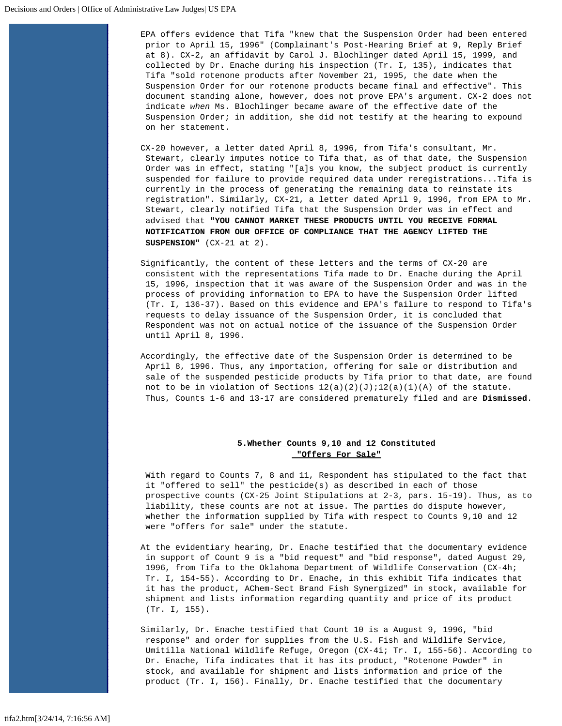EPA offers evidence that Tifa "knew that the Suspension Order had been entered prior to April 15, 1996" (Complainant's Post-Hearing Brief at 9, Reply Brief at 8). CX-2, an affidavit by Carol J. Blochlinger dated April 15, 1999, and collected by Dr. Enache during his inspection (Tr. I, 135), indicates that Tifa "sold rotenone products after November 21, 1995, the date when the Suspension Order for our rotenone products became final and effective". This document standing alone, however, does not prove EPA's argument. CX-2 does not indicate *when* Ms. Blochlinger became aware of the effective date of the Suspension Order; in addition, she did not testify at the hearing to expound on her statement.

CX-20 however, a letter dated April 8, 1996, from Tifa's consultant, Mr. Stewart, clearly imputes notice to Tifa that, as of that date, the Suspension Order was in effect, stating "[a]s you know, the subject product is currently suspended for failure to provide required data under reregistrations...Tifa is currently in the process of generating the remaining data to reinstate its registration". Similarly, CX-21, a letter dated April 9, 1996, from EPA to Mr. Stewart, clearly notified Tifa that the Suspension Order was in effect and advised that **"YOU CANNOT MARKET THESE PRODUCTS UNTIL YOU RECEIVE FORMAL NOTIFICATION FROM OUR OFFICE OF COMPLIANCE THAT THE AGENCY LIFTED THE SUSPENSION"** (CX-21 at 2).

Significantly, the content of these letters and the terms of CX-20 are consistent with the representations Tifa made to Dr. Enache during the April 15, 1996, inspection that it was aware of the Suspension Order and was in the process of providing information to EPA to have the Suspension Order lifted (Tr. I, 136-37). Based on this evidence and EPA's failure to respond to Tifa's requests to delay issuance of the Suspension Order, it is concluded that Respondent was not on actual notice of the issuance of the Suspension Order until April 8, 1996.

Accordingly, the effective date of the Suspension Order is determined to be April 8, 1996. Thus, any importation, offering for sale or distribution and sale of the suspended pesticide products by Tifa prior to that date, are found not to be in violation of Sections  $12(a)(2)(J)i12(a)(1)(A)$  of the statute. Thus, Counts 1-6 and 13-17 are considered prematurely filed and are **Dismissed**.

# **5.Whether Counts 9,10 and 12 Constituted "Offers For Sale"**

With regard to Counts 7, 8 and 11, Respondent has stipulated to the fact that it "offered to sell" the pesticide(s) as described in each of those prospective counts (CX-25 Joint Stipulations at 2-3, pars. 15-19). Thus, as to liability, these counts are not at issue. The parties do dispute however, whether the information supplied by Tifa with respect to Counts 9,10 and 12 were "offers for sale" under the statute.

At the evidentiary hearing, Dr. Enache testified that the documentary evidence in support of Count 9 is a "bid request" and "bid response", dated August 29, 1996, from Tifa to the Oklahoma Department of Wildlife Conservation (CX-4h; Tr. I, 154-55). According to Dr. Enache, in this exhibit Tifa indicates that it has the product, AChem-Sect Brand Fish Synergized" in stock, available for shipment and lists information regarding quantity and price of its product (Tr. I, 155).

Similarly, Dr. Enache testified that Count 10 is a August 9, 1996, "bid response" and order for supplies from the U.S. Fish and Wildlife Service, Umitilla National Wildlife Refuge, Oregon (CX-4i; Tr. I, 155-56). According to Dr. Enache, Tifa indicates that it has its product, "Rotenone Powder" in stock, and available for shipment and lists information and price of the product (Tr. I, 156). Finally, Dr. Enache testified that the documentary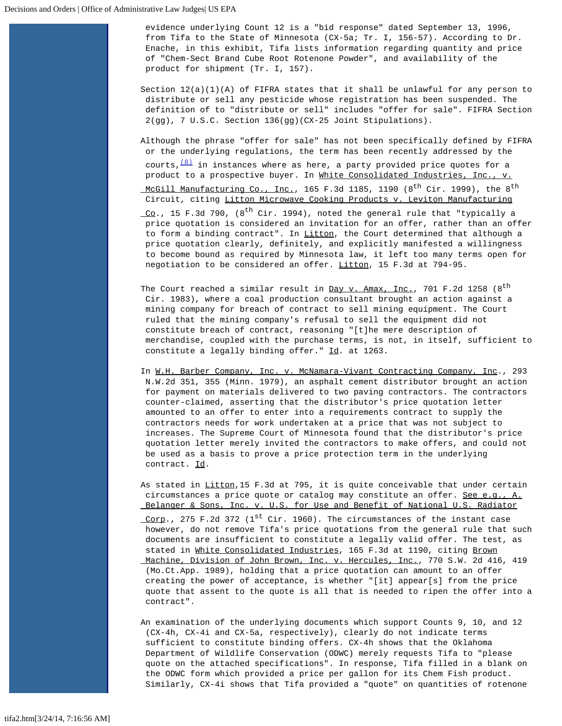evidence underlying Count 12 is a "bid response" dated September 13, 1996, from Tifa to the State of Minnesota (CX-5a; Tr. I, 156-57). According to Dr. Enache, in this exhibit, Tifa lists information regarding quantity and price of "Chem-Sect Brand Cube Root Rotenone Powder", and availability of the product for shipment (Tr. I, 157).

Section  $12(a)(1)(A)$  of FIFRA states that it shall be unlawful for any person to distribute or sell any pesticide whose registration has been suspended. The definition of to "distribute or sell" includes "offer for sale". FIFRA Section 2(gg), 7 U.S.C. Section 136(gg)(CX-25 Joint Stipulations).

Although the phrase "offer for sale" has not been specifically defined by FIFRA or the underlying regulations, the term has been recently addressed by the courts,  $\frac{(8)}{1}$  in instances where as here, a party provided price quotes for a product to a prospective buyer. In White Consolidated Industries, Inc., v. <u>McGill Manufacturing Co., Inc.</u>, 165 F.3d 1185, 1190 (8<sup>th</sup> Cir. 1999), the 8<sup>th</sup> Circuit, citing Litton Microwave Cooking Products v. Leviton Manufacturing  $\overline{CQ}$ ., 15 F.3d 790, (8<sup>th</sup> Cir. 1994), noted the general rule that "typically a price quotation is considered an invitation for an offer, rather than an offer to form a binding contract". In Litton, the Court determined that although a price quotation clearly, definitely, and explicitly manifested a willingness to become bound as required by Minnesota law, it left too many terms open for negotiation to be considered an offer. Litton, 15 F.3d at 794-95.

The Court reached a similar result in  $Day$  v. Amax, Inc., 701 F.2d 1258 (8<sup>th</sup> Cir. 1983), where a coal production consultant brought an action against a mining company for breach of contract to sell mining equipment. The Court ruled that the mining company's refusal to sell the equipment did not constitute breach of contract, reasoning "[t]he mere description of merchandise, coupled with the purchase terms, is not, in itself, sufficient to constitute a legally binding offer." Id*.* at 1263.

In W.H. Barber Company, Inc. v. McNamara-Vivant Contracting Company, Inc., 293 N.W.2d 351, 355 (Minn. 1979), an asphalt cement distributor brought an action for payment on materials delivered to two paving contractors. The contractors counter-claimed, asserting that the distributor's price quotation letter amounted to an offer to enter into a requirements contract to supply the contractors needs for work undertaken at a price that was not subject to increases. The Supreme Court of Minnesota found that the distributor's price quotation letter merely invited the contractors to make offers, and could not be used as a basis to prove a price protection term in the underlying contract. Id.

As stated in Litton, 15 F.3d at 795, it is quite conceivable that under certain circumstances a price quote or catalog may constitute an offer. See e.g., A. Belanger & Sons, Inc. v. U.S. for Use and Benefit of National U.S. Radiator

<u>Corp</u>., 275 F.2d 372 (1<sup>st</sup> Cir. 1960). The circumstances of the instant case however, do not remove Tifa's price quotations from the general rule that such documents are insufficient to constitute a legally valid offer. The test, as stated in White Consolidated Industries, 165 F.3d at 1190, citing Brown Machine, Division of John Brown, Inc. v. Hercules, Inc., 770 S.W. 2d 416, 419 (Mo.Ct.App. 1989), holding that a price quotation can amount to an offer creating the power of acceptance, is whether "[it] appear[s] from the price quote that assent to the quote is all that is needed to ripen the offer into a contract".

An examination of the underlying documents which support Counts 9, 10, and 12 (CX-4h, CX-4i and CX-5a, respectively), clearly do not indicate terms sufficient to constitute binding offers. CX-4h shows that the Oklahoma Department of Wildlife Conservation (ODWC) merely requests Tifa to "please quote on the attached specifications". In response, Tifa filled in a blank on the ODWC form which provided a price per gallon for its Chem Fish product. Similarly, CX-4i shows that Tifa provided a "quote" on quantities of rotenone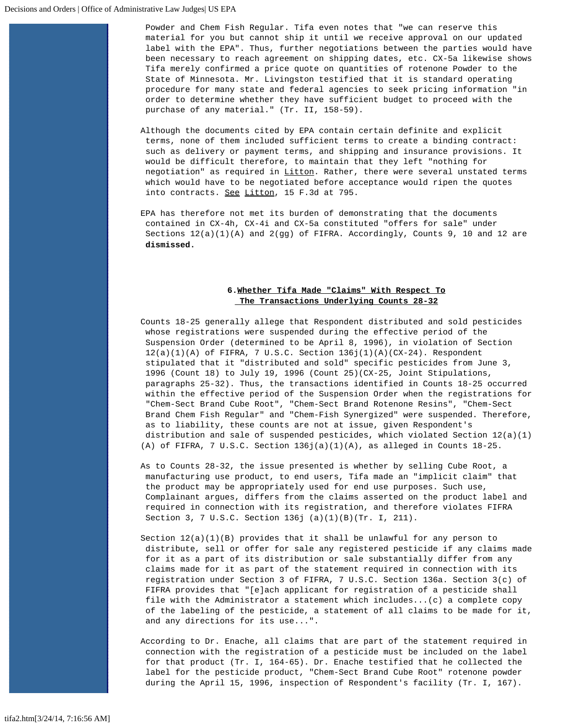Powder and Chem Fish Regular. Tifa even notes that "we can reserve this material for you but cannot ship it until we receive approval on our updated label with the EPA". Thus, further negotiations between the parties would have been necessary to reach agreement on shipping dates, etc. CX-5a likewise shows Tifa merely confirmed a price quote on quantities of rotenone Powder to the State of Minnesota. Mr. Livingston testified that it is standard operating procedure for many state and federal agencies to seek pricing information "in order to determine whether they have sufficient budget to proceed with the purchase of any material." (Tr. II, 158-59).

Although the documents cited by EPA contain certain definite and explicit terms, none of them included sufficient terms to create a binding contract: such as delivery or payment terms, and shipping and insurance provisions. It would be difficult therefore, to maintain that they left "nothing for negotiation" as required in Litton. Rather, there were several unstated terms which would have to be negotiated before acceptance would ripen the quotes into contracts. See Litton, 15 F.3d at 795.

EPA has therefore not met its burden of demonstrating that the documents contained in CX-4h, CX-4i and CX-5a constituted "offers for sale" under Sections  $12(a)(1)(A)$  and  $2(gg)$  of FIFRA. Accordingly, Counts 9, 10 and 12 are **dismissed.**

# **6.Whether Tifa Made "Claims" With Respect To The Transactions Underlying Counts 28-32**

Counts 18-25 generally allege that Respondent distributed and sold pesticides whose registrations were suspended during the effective period of the Suspension Order (determined to be April 8, 1996), in violation of Section  $12(a)(1)(A)$  of FIFRA, 7 U.S.C. Section  $136j(1)(A)(CX-24)$ . Respondent stipulated that it "distributed and sold" specific pesticides from June 3, 1996 (Count 18) to July 19, 1996 (Count 25)(CX-25, Joint Stipulations, paragraphs 25-32). Thus, the transactions identified in Counts 18-25 occurred within the effective period of the Suspension Order when the registrations for "Chem-Sect Brand Cube Root", "Chem-Sect Brand Rotenone Resins", "Chem-Sect Brand Chem Fish Regular" and "Chem-Fish Synergized" were suspended. Therefore, as to liability, these counts are not at issue, given Respondent's distribution and sale of suspended pesticides, which violated Section 12(a)(1) (A) of FIFRA, 7 U.S.C. Section  $136j(a)(1)(A)$ , as alleged in Counts  $18-25$ .

As to Counts 28-32, the issue presented is whether by selling Cube Root, a manufacturing use product, to end users, Tifa made an "implicit claim" that the product may be appropriately used for end use purposes. Such use, Complainant argues, differs from the claims asserted on the product label and required in connection with its registration, and therefore violates FIFRA Section 3, 7 U.S.C. Section 136j (a)(1)(B)(Tr. I, 211).

Section  $12(a)(1)(B)$  provides that it shall be unlawful for any person to distribute, sell or offer for sale any registered pesticide if any claims made for it as a part of its distribution or sale substantially differ from any claims made for it as part of the statement required in connection with its registration under Section 3 of FIFRA, 7 U.S.C. Section 136a. Section 3(c) of FIFRA provides that "[e]ach applicant for registration of a pesticide shall file with the Administrator a statement which includes...(c) a complete copy of the labeling of the pesticide, a statement of all claims to be made for it, and any directions for its use...".

According to Dr. Enache, all claims that are part of the statement required in connection with the registration of a pesticide must be included on the label for that product (Tr. I, 164-65). Dr. Enache testified that he collected the label for the pesticide product, "Chem-Sect Brand Cube Root" rotenone powder during the April 15, 1996, inspection of Respondent's facility (Tr. I, 167).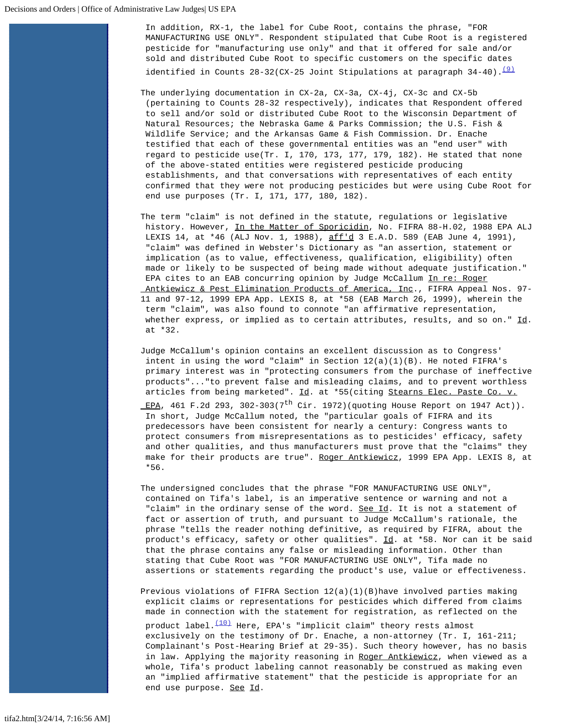In addition, RX-1, the label for Cube Root, contains the phrase, "FOR MANUFACTURING USE ONLY". Respondent stipulated that Cube Root is a registered pesticide for "manufacturing use only" and that it offered for sale and/or sold and distributed Cube Root to specific customers on the specific dates identified in Counts 28-32(CX-25 Joint Stipulations at paragraph  $34-40$ ).<sup>[\(9\)](#page-25-1)</sup>

The underlying documentation in CX-2a, CX-3a, CX-4j, CX-3c and CX-5b (pertaining to Counts 28-32 respectively), indicates that Respondent offered to sell and/or sold or distributed Cube Root to the Wisconsin Department of Natural Resources; the Nebraska Game & Parks Commission; the U.S. Fish & Wildlife Service; and the Arkansas Game & Fish Commission. Dr. Enache testified that each of these governmental entities was an "end user" with regard to pesticide use(Tr. I, 170, 173, 177, 179, 182). He stated that none of the above-stated entities were registered pesticide producing establishments, and that conversations with representatives of each entity confirmed that they were not producing pesticides but were using Cube Root for end use purposes (Tr. I, 171, 177, 180, 182).

The term "claim" is not defined in the statute, regulations or legislative history. However, In the Matter of Sporicidin, No. FIFRA 88-H.02, 1988 EPA ALJ LEXIS 14, at \*46 (ALJ Nov. 1, 1988), aff'd 3 E.A.D. 589 (EAB June 4, 1991), "claim" was defined in Webster's Dictionary as "an assertion, statement or implication (as to value, effectiveness, qualification, eligibility) often made or likely to be suspected of being made without adequate justification." EPA cites to an EAB concurring opinion by Judge McCallum In re: Roger Antkiewicz & Pest Elimination Products of America, Inc., FIFRA Appeal Nos. 97- 11 and 97-12, 1999 EPA App. LEXIS 8, at \*58 (EAB March 26, 1999), wherein the term "claim", was also found to connote "an affirmative representation, whether express, or implied as to certain attributes, results, and so on."  $\underline{Id}$ . at \*32.

Judge McCallum's opinion contains an excellent discussion as to Congress' intent in using the word "claim" in Section 12(a)(1)(B). He noted FIFRA's primary interest was in "protecting consumers from the purchase of ineffective products"..."to prevent false and misleading claims, and to prevent worthless articles from being marketed". Id. at \*55(citing Stearns Elec. Paste Co. v. EPA, 461 F.2d 293, 302-303(7<sup>th</sup> Cir. 1972)(quoting House Report on 1947 Act)). In short, Judge McCallum noted, the "particular goals of FIFRA and its predecessors have been consistent for nearly a century: Congress wants to protect consumers from misrepresentations as to pesticides' efficacy, safety and other qualities, and thus manufacturers must prove that the "claims" they make for their products are true". Roger Antkiewicz, 1999 EPA App. LEXIS 8, at \*56.

The undersigned concludes that the phrase "FOR MANUFACTURING USE ONLY", contained on Tifa's label, is an imperative sentence or warning and not a "claim" in the ordinary sense of the word. See Id. It is not a statement of fact or assertion of truth, and pursuant to Judge McCallum's rationale, the phrase "tells the reader nothing definitive, as required by FIFRA, about the product's efficacy, safety or other qualities". Id. at \*58. Nor can it be said that the phrase contains any false or misleading information. Other than stating that Cube Root was "FOR MANUFACTURING USE ONLY", Tifa made no assertions or statements regarding the product's use, value or effectiveness.

Previous violations of FIFRA Section 12(a)(1)(B)have involved parties making explicit claims or representations for pesticides which differed from claims made in connection with the statement for registration, as reflected on the product label. $\frac{(10)}{100}$  $\frac{(10)}{100}$  $\frac{(10)}{100}$  Here, EPA's "implicit claim" theory rests almost

 exclusively on the testimony of Dr. Enache, a non-attorney (Tr. I, 161-211; Complainant's Post-Hearing Brief at 29-35). Such theory however, has no basis in law. Applying the majority reasoning in Roger Antkiewicz, when viewed as a whole, Tifa's product labeling cannot reasonably be construed as making even an "implied affirmative statement" that the pesticide is appropriate for an end use purpose. See Id.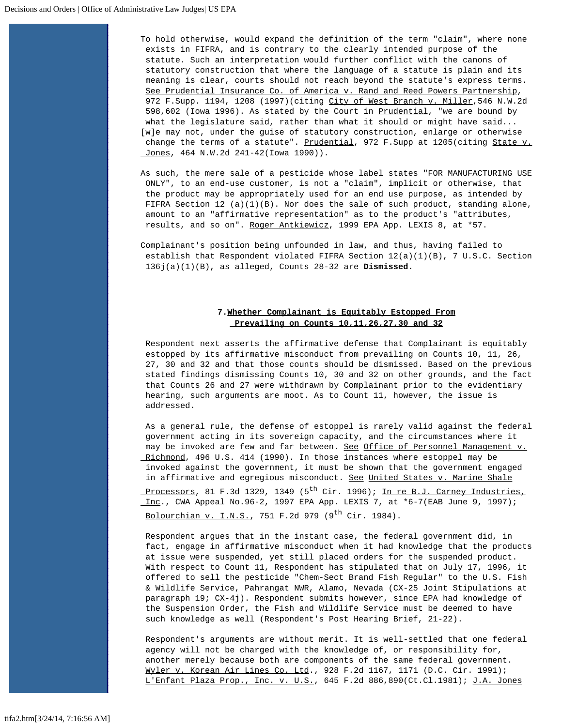To hold otherwise, would expand the definition of the term "claim", where none exists in FIFRA, and is contrary to the clearly intended purpose of the statute. Such an interpretation would further conflict with the canons of statutory construction that where the language of a statute is plain and its meaning is clear, courts should not reach beyond the statute's express terms. See Prudential Insurance Co. of America v. Rand and Reed Powers Partnership, 972 F.Supp. 1194, 1208 (1997)(citing City of West Branch v. Miller, 546 N.W.2d 598,602 (Iowa 1996). As stated by the Court in Prudential, "we are bound by what the legislature said, rather than what it should or might have said... [w]e may not, under the guise of statutory construction, enlarge or otherwise change the terms of a statute". Prudential, 972 F. Supp at 1205(citing State v. Jones, 464 N.W.2d 241-42(Iowa 1990)).

As such, the mere sale of a pesticide whose label states "FOR MANUFACTURING USE ONLY", to an end-use customer, is not a "claim", implicit or otherwise, that the product may be appropriately used for an end use purpose, as intended by FIFRA Section 12 (a)(1)(B). Nor does the sale of such product, standing alone, amount to an "affirmative representation" as to the product's "attributes, results, and so on". Roger Antkiewicz, 1999 EPA App. LEXIS 8, at \*57.

Complainant's position being unfounded in law, and thus, having failed to establish that Respondent violated FIFRA Section 12(a)(1)(B), 7 U.S.C. Section 136j(a)(1)(B), as alleged, Counts 28-32 are **Dismissed.**

# **7.Whether Complainant is Equitably Estopped From Prevailing on Counts 10,11,26,27,30 and 32**

Respondent next asserts the affirmative defense that Complainant is equitably estopped by its affirmative misconduct from prevailing on Counts 10, 11, 26, 27, 30 and 32 and that those counts should be dismissed. Based on the previous stated findings dismissing Counts 10, 30 and 32 on other grounds, and the fact that Counts 26 and 27 were withdrawn by Complainant prior to the evidentiary hearing, such arguments are moot. As to Count 11, however, the issue is addressed.

As a general rule, the defense of estoppel is rarely valid against the federal government acting in its sovereign capacity, and the circumstances where it may be invoked are few and far between. See Office of Personnel Management v. Richmond, 496 U.S. 414 (1990). In those instances where estoppel may be invoked against the government, it must be shown that the government engaged in affirmative and egregious misconduct. See United States v. Marine Shale Processors, 81 F.3d 1329, 1349 (5<sup>th</sup> Cir. 1996); In re B.J. Carney Industries, Inc., CWA Appeal No.96-2, 1997 EPA App. LEXIS 7, at  $*6-7$  (EAB June 9, 1997); Bolourchian v. I.N.S., 751 F.2d 979 (9<sup>th</sup> Cir. 1984).

Respondent argues that in the instant case, the federal government did, in fact, engage in affirmative misconduct when it had knowledge that the products at issue were suspended, yet still placed orders for the suspended product. With respect to Count 11, Respondent has stipulated that on July 17, 1996, it offered to sell the pesticide "Chem-Sect Brand Fish Regular" to the U.S. Fish & Wildlife Service, Pahrangat NWR, Alamo, Nevada (CX-25 Joint Stipulations at paragraph 19; CX-4j). Respondent submits however, since EPA had knowledge of the Suspension Order, the Fish and Wildlife Service must be deemed to have such knowledge as well (Respondent's Post Hearing Brief, 21-22).

Respondent's arguments are without merit. It is well-settled that one federal agency will not be charged with the knowledge of, or responsibility for, another merely because both are components of the same federal government. Wyler v. Korean Air Lines Co. Ltd., 928 F.2d 1167, 1171 (D.C. Cir. 1991); L'Enfant Plaza Prop., Inc. v. U.S., 645 F.2d 886,890(Ct.Cl.1981); J.A. Jones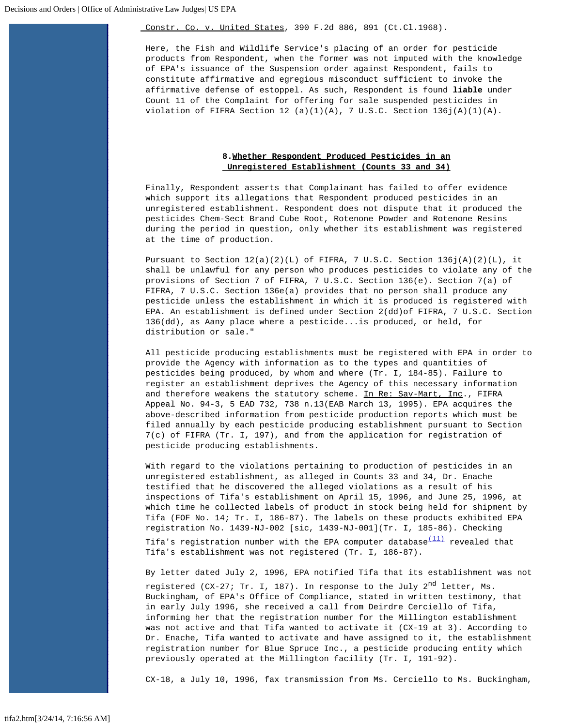Constr. Co. v. United States, 390 F.2d 886, 891 (Ct.Cl.1968).

Here, the Fish and Wildlife Service's placing of an order for pesticide products from Respondent, when the former was not imputed with the knowledge of EPA's issuance of the Suspension order against Respondent, fails to constitute affirmative and egregious misconduct sufficient to invoke the affirmative defense of estoppel. As such, Respondent is found **liable** under Count 11 of the Complaint for offering for sale suspended pesticides in violation of FIFRA Section 12 (a)(1)(A), 7 U.S.C. Section  $136j(A)(1)(A)$ .

# **8.Whether Respondent Produced Pesticides in an Unregistered Establishment (Counts 33 and 34)**

Finally, Respondent asserts that Complainant has failed to offer evidence which support its allegations that Respondent produced pesticides in an unregistered establishment. Respondent does not dispute that it produced the pesticides Chem-Sect Brand Cube Root, Rotenone Powder and Rotenone Resins during the period in question, only whether its establishment was registered at the time of production.

Pursuant to Section 12(a)(2)(L) of FIFRA, 7 U.S.C. Section 136j(A)(2)(L), it shall be unlawful for any person who produces pesticides to violate any of the provisions of Section 7 of FIFRA, 7 U.S.C. Section 136(e). Section 7(a) of FIFRA, 7 U.S.C. Section 136e(a) provides that no person shall produce any pesticide unless the establishment in which it is produced is registered with EPA. An establishment is defined under Section 2(dd)of FIFRA, 7 U.S.C. Section 136(dd), as Aany place where a pesticide...is produced, or held, for distribution or sale."

All pesticide producing establishments must be registered with EPA in order to provide the Agency with information as to the types and quantities of pesticides being produced, by whom and where (Tr. I, 184-85). Failure to register an establishment deprives the Agency of this necessary information and therefore weakens the statutory scheme. In Re: Sav-Mart, Inc., FIFRA Appeal No. 94-3, 5 EAD 732, 738 n.13(EAB March 13, 1995). EPA acquires the above-described information from pesticide production reports which must be filed annually by each pesticide producing establishment pursuant to Section 7(c) of FIFRA (Tr. I, 197), and from the application for registration of pesticide producing establishments.

With regard to the violations pertaining to production of pesticides in an unregistered establishment, as alleged in Counts 33 and 34, Dr. Enache testified that he discovered the alleged violations as a result of his inspections of Tifa's establishment on April 15, 1996, and June 25, 1996, at which time he collected labels of product in stock being held for shipment by Tifa (FOF No. 14; Tr. I, 186-87). The labels on these products exhibited EPA registration No. 1439-NJ-002 [sic, 1439-NJ-001](Tr. I, 185-86). Checking

Tifa's registration number with the EPA computer database $\frac{(11)}{11}$  $\frac{(11)}{11}$  $\frac{(11)}{11}$  revealed that Tifa's establishment was not registered (Tr. I, 186-87).

By letter dated July 2, 1996, EPA notified Tifa that its establishment was not registered (CX-27; Tr. I, 187). In response to the July  $2^{nd}$  letter, Ms. Buckingham, of EPA's Office of Compliance, stated in written testimony, that in early July 1996, she received a call from Deirdre Cerciello of Tifa, informing her that the registration number for the Millington establishment was not active and that Tifa wanted to activate it (CX-19 at 3). According to Dr. Enache, Tifa wanted to activate and have assigned to it, the establishment registration number for Blue Spruce Inc., a pesticide producing entity which previously operated at the Millington facility (Tr. I, 191-92).

CX-18, a July 10, 1996, fax transmission from Ms. Cerciello to Ms. Buckingham,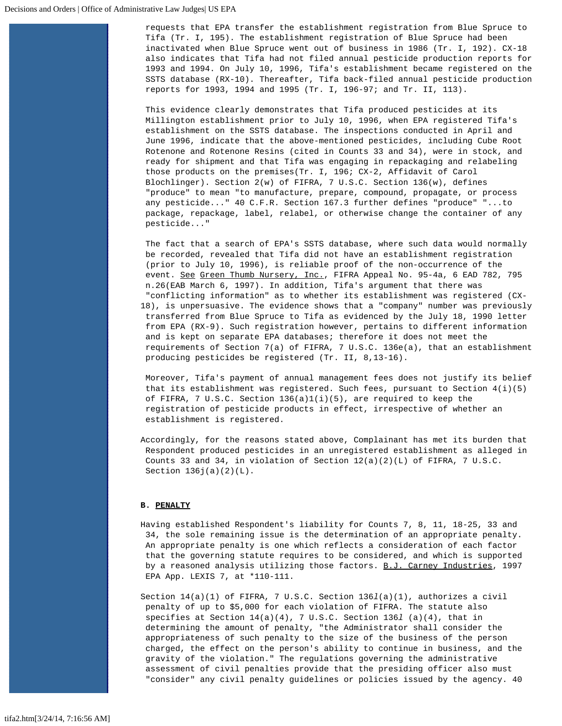requests that EPA transfer the establishment registration from Blue Spruce to Tifa (Tr. I, 195). The establishment registration of Blue Spruce had been inactivated when Blue Spruce went out of business in 1986 (Tr. I, 192). CX-18 also indicates that Tifa had not filed annual pesticide production reports for 1993 and 1994. On July 10, 1996, Tifa's establishment became registered on the SSTS database (RX-10). Thereafter, Tifa back-filed annual pesticide production reports for 1993, 1994 and 1995 (Tr. I, 196-97; and Tr. II, 113).

This evidence clearly demonstrates that Tifa produced pesticides at its Millington establishment prior to July 10, 1996, when EPA registered Tifa's establishment on the SSTS database. The inspections conducted in April and June 1996, indicate that the above-mentioned pesticides, including Cube Root Rotenone and Rotenone Resins (cited in Counts 33 and 34), were in stock, and ready for shipment and that Tifa was engaging in repackaging and relabeling those products on the premises(Tr. I, 196; CX-2, Affidavit of Carol Blochlinger). Section 2(w) of FIFRA, 7 U.S.C. Section 136(w), defines "produce" to mean "to manufacture, prepare, compound, propagate, or process any pesticide..." 40 C.F.R. Section 167.3 further defines "produce" "...to package, repackage, label, relabel, or otherwise change the container of any pesticide..."

 The fact that a search of EPA's SSTS database, where such data would normally be recorded, revealed that Tifa did not have an establishment registration (prior to July 10, 1996), is reliable proof of the non-occurrence of the event. See Green Thumb Nursery, Inc., FIFRA Appeal No. 95-4a, 6 EAD 782, 795 n.26(EAB March 6, 1997). In addition, Tifa's argument that there was "conflicting information" as to whether its establishment was registered (CX-18), is unpersuasive. The evidence shows that a "company" number was previously transferred from Blue Spruce to Tifa as evidenced by the July 18, 1990 letter from EPA (RX-9). Such registration however, pertains to different information and is kept on separate EPA databases; therefore it does not meet the requirements of Section 7(a) of FIFRA, 7 U.S.C. 136e(a), that an establishment producing pesticides be registered (Tr. II, 8,13-16).

Moreover, Tifa's payment of annual management fees does not justify its belief that its establishment was registered. Such fees, pursuant to Section  $4(i)(5)$  of FIFRA, 7 U.S.C. Section 136(a)1(i)(5), are required to keep the registration of pesticide products in effect, irrespective of whether an establishment is registered.

Accordingly, for the reasons stated above, Complainant has met its burden that Respondent produced pesticides in an unregistered establishment as alleged in Counts 33 and 34, in violation of Section  $12(a)(2)(L)$  of FIFRA, 7 U.S.C. Section  $136j(a)(2)(L)$ .

### **B. PENALTY**

Having established Respondent's liability for Counts 7, 8, 11, 18-25, 33 and 34, the sole remaining issue is the determination of an appropriate penalty. An appropriate penalty is one which reflects a consideration of each factor that the governing statute requires to be considered, and which is supported by a reasoned analysis utilizing those factors. B.J. Carney Industries, 1997 EPA App. LEXIS 7, at \*110-111.

Section 14(a)(1) of FIFRA, 7 U.S.C. Section 136*l*(a)(1), authorizes a civil penalty of up to \$5,000 for each violation of FIFRA. The statute also specifies at Section 14(a)(4), 7 U.S.C. Section 136*l* (a)(4), that in determining the amount of penalty, "the Administrator shall consider the appropriateness of such penalty to the size of the business of the person charged, the effect on the person's ability to continue in business, and the gravity of the violation." The regulations governing the administrative assessment of civil penalties provide that the presiding officer also must "consider" any civil penalty guidelines or policies issued by the agency. 40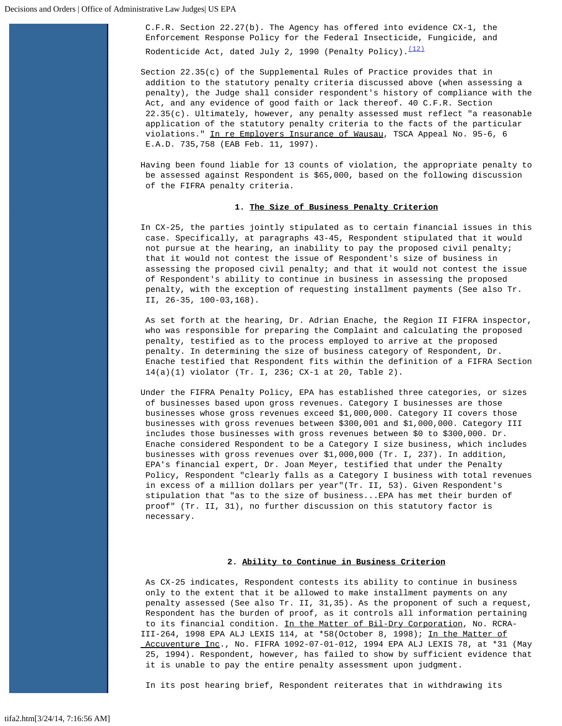C.F.R. Section 22.27(b). The Agency has offered into evidence CX-1, the Enforcement Response Policy for the Federal Insecticide, Fungicide, and Rodenticide Act, dated July 2, 1990 (Penalty Policy). $(12)$ 

Section  $22.35(c)$  of the Supplemental Rules of Practice provides that in addition to the statutory penalty criteria discussed above (when assessing a penalty), the Judge shall consider respondent's history of compliance with the Act, and any evidence of good faith or lack thereof. 40 C.F.R. Section  $22.35(c)$ . Ultimately, however, any penalty assessed must reflect "a reasonable application of the statutory penalty criteria to the facts of the particular violations." In re Employers Insurance of Wausau, TSCA Appeal No. 95-6, 6 E.A.D. 735,758 (EAB Feb. 11, 1997).

Having been found liable for 13 counts of violation, the appropriate penalty to be assessed against Respondent is \$65,000, based on the following discussion of the FIFRA penalty criteria.

# **1. The Size of Business Penalty Criterion**

In CX-25, the parties jointly stipulated as to certain financial issues in this case. Specifically, at paragraphs 43-45, Respondent stipulated that it would not pursue at the hearing, an inability to pay the proposed civil penalty; that it would not contest the issue of Respondent's size of business in assessing the proposed civil penalty; and that it would not contest the issue of Respondent's ability to continue in business in assessing the proposed penalty, with the exception of requesting installment payments (See also Tr. II, 26-35, 100-03,168).

 As set forth at the hearing, Dr. Adrian Enache, the Region II FIFRA inspector, who was responsible for preparing the Complaint and calculating the proposed penalty, testified as to the process employed to arrive at the proposed penalty. In determining the size of business category of Respondent, Dr. Enache testified that Respondent fits within the definition of a FIFRA Section 14(a)(1) violator (Tr. I, 236; CX-1 at 20, Table 2).

Under the FIFRA Penalty Policy, EPA has established three categories, or sizes of businesses based upon gross revenues. Category I businesses are those businesses whose gross revenues exceed \$1,000,000. Category II covers those businesses with gross revenues between \$300,001 and \$1,000,000. Category III includes those businesses with gross revenues between \$0 to \$300,000. Dr. Enache considered Respondent to be a Category I size business, which includes businesses with gross revenues over \$1,000,000 (Tr. I, 237). In addition, EPA's financial expert, Dr. Joan Meyer, testified that under the Penalty Policy, Respondent "clearly falls as a Category I business with total revenues in excess of a million dollars per year"(Tr. II, 53). Given Respondent's stipulation that "as to the size of business...EPA has met their burden of proof" (Tr. II, 31), no further discussion on this statutory factor is necessary.

#### **2. Ability to Continue in Business Criterion**

As CX-25 indicates, Respondent contests its ability to continue in business only to the extent that it be allowed to make installment payments on any penalty assessed (See also Tr. II, 31,35). As the proponent of such a request, Respondent has the burden of proof, as it controls all information pertaining to its financial condition. In the Matter of Bil-Dry Corporation, No. RCRA-III-264, 1998 EPA ALJ LEXIS 114, at \*58(October 8, 1998); In the Matter of Accuventure Inc., No. FIFRA 1092-07-01-012, 1994 EPA ALJ LEXIS 78, at \*31 (May 25, 1994). Respondent, however, has failed to show by sufficient evidence that it is unable to pay the entire penalty assessment upon judgment.

In its post hearing brief, Respondent reiterates that in withdrawing its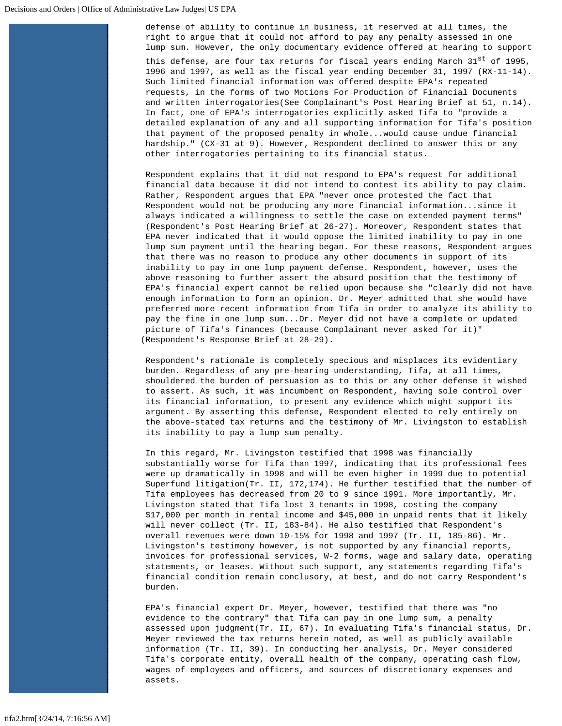defense of ability to continue in business, it reserved at all times, the right to argue that it could not afford to pay any penalty assessed in one lump sum. However, the only documentary evidence offered at hearing to support this defense, are four tax returns for fiscal years ending March  $31^{st}$  of 1995, 1996 and 1997, as well as the fiscal year ending December 31, 1997 (RX-11-14). Such limited financial information was offered despite EPA's repeated requests, in the forms of two Motions For Production of Financial Documents and written interrogatories(See Complainant's Post Hearing Brief at 51, n.14). In fact, one of EPA's interrogatories explicitly asked Tifa to "provide a detailed explanation of any and all supporting information for Tifa's position that payment of the proposed penalty in whole...would cause undue financial hardship." (CX-31 at 9). However, Respondent declined to answer this or any other interrogatories pertaining to its financial status.

Respondent explains that it did not respond to EPA's request for additional financial data because it did not intend to contest its ability to pay claim. Rather, Respondent argues that EPA "never once protested the fact that Respondent would not be producing any more financial information...since it always indicated a willingness to settle the case on extended payment terms" (Respondent's Post Hearing Brief at 26-27). Moreover, Respondent states that EPA never indicated that it would oppose the limited inability to pay in one lump sum payment until the hearing began. For these reasons, Respondent argues that there was no reason to produce any other documents in support of its inability to pay in one lump payment defense. Respondent, however, uses the above reasoning to further assert the absurd position that the testimony of EPA's financial expert cannot be relied upon because she "clearly did not have enough information to form an opinion. Dr. Meyer admitted that she would have preferred more recent information from Tifa in order to analyze its ability to pay the fine in one lump sum...Dr. Meyer did not have a complete or updated picture of Tifa's finances (because Complainant never asked for it)" (Respondent's Response Brief at 28-29).

Respondent's rationale is completely specious and misplaces its evidentiary burden. Regardless of any pre-hearing understanding, Tifa, at all times, shouldered the burden of persuasion as to this or any other defense it wished to assert. As such, it was incumbent on Respondent, having sole control over its financial information, to present any evidence which might support its argument. By asserting this defense, Respondent elected to rely entirely on the above-stated tax returns and the testimony of Mr. Livingston to establish its inability to pay a lump sum penalty.

In this regard, Mr. Livingston testified that 1998 was financially substantially worse for Tifa than 1997, indicating that its professional fees were up dramatically in 1998 and will be even higher in 1999 due to potential Superfund litigation(Tr. II, 172,174). He further testified that the number of Tifa employees has decreased from 20 to 9 since 1991. More importantly, Mr. Livingston stated that Tifa lost 3 tenants in 1998, costing the company \$17,000 per month in rental income and \$45,000 in unpaid rents that it likely will never collect (Tr. II, 183-84). He also testified that Respondent's overall revenues were down 10-15% for 1998 and 1997 (Tr. II, 185-86). Mr. Livingston's testimony however, is not supported by any financial reports, invoices for professional services, W-2 forms, wage and salary data, operating statements, or leases. Without such support, any statements regarding Tifa's financial condition remain conclusory, at best, and do not carry Respondent's burden.

EPA's financial expert Dr. Meyer, however, testified that there was "no evidence to the contrary" that Tifa can pay in one lump sum, a penalty assessed upon judgment(Tr. II, 67). In evaluating Tifa's financial status, Dr. Meyer reviewed the tax returns herein noted, as well as publicly available information (Tr. II, 39). In conducting her analysis, Dr. Meyer considered Tifa's corporate entity, overall health of the company, operating cash flow, wages of employees and officers, and sources of discretionary expenses and assets.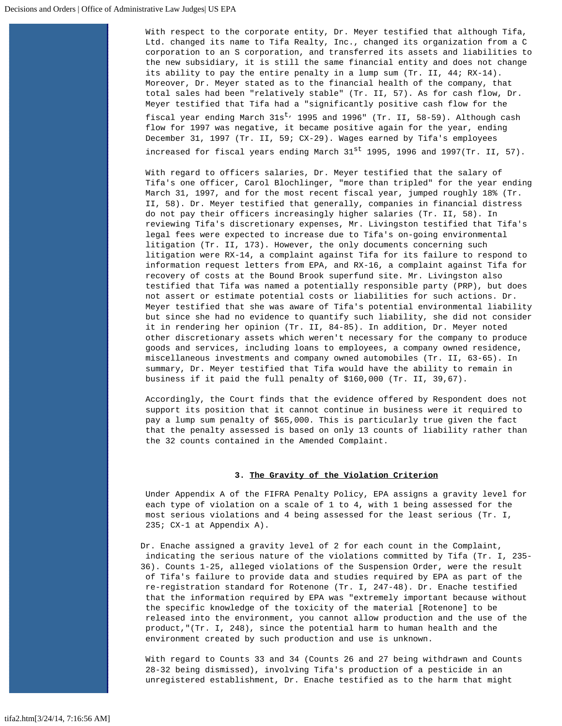With respect to the corporate entity, Dr. Meyer testified that although Tifa, Ltd. changed its name to Tifa Realty, Inc., changed its organization from a C corporation to an S corporation, and transferred its assets and liabilities to the new subsidiary, it is still the same financial entity and does not change its ability to pay the entire penalty in a lump sum (Tr. II, 44; RX-14). Moreover, Dr. Meyer stated as to the financial health of the company, that total sales had been "relatively stable" (Tr. II, 57). As for cash flow, Dr. Meyer testified that Tifa had a "significantly positive cash flow for the fiscal year ending March  $31s^t$ , 1995 and 1996" (Tr. II, 58-59). Although cash flow for 1997 was negative, it became positive again for the year, ending December 31, 1997 (Tr. II, 59; CX-29). Wages earned by Tifa's employees increased for fiscal years ending March  $31^{st}$  1995, 1996 and 1997(Tr. II, 57).

With regard to officers salaries, Dr. Meyer testified that the salary of Tifa's one officer, Carol Blochlinger, "more than tripled" for the year ending March 31, 1997, and for the most recent fiscal year, jumped roughly 18% (Tr. II, 58). Dr. Meyer testified that generally, companies in financial distress do not pay their officers increasingly higher salaries (Tr. II, 58). In reviewing Tifa's discretionary expenses, Mr. Livingston testified that Tifa's legal fees were expected to increase due to Tifa's on-going environmental litigation (Tr. II, 173). However, the only documents concerning such litigation were RX-14, a complaint against Tifa for its failure to respond to information request letters from EPA, and RX-16, a complaint against Tifa for recovery of costs at the Bound Brook superfund site. Mr. Livingston also testified that Tifa was named a potentially responsible party (PRP), but does not assert or estimate potential costs or liabilities for such actions. Dr. Meyer testified that she was aware of Tifa's potential environmental liability but since she had no evidence to quantify such liability, she did not consider it in rendering her opinion (Tr. II, 84-85). In addition, Dr. Meyer noted other discretionary assets which weren't necessary for the company to produce goods and services, including loans to employees, a company owned residence, miscellaneous investments and company owned automobiles (Tr. II, 63-65). In summary, Dr. Meyer testified that Tifa would have the ability to remain in business if it paid the full penalty of \$160,000 (Tr. II, 39,67).

Accordingly, the Court finds that the evidence offered by Respondent does not support its position that it cannot continue in business were it required to pay a lump sum penalty of \$65,000. This is particularly true given the fact that the penalty assessed is based on only 13 counts of liability rather than the 32 counts contained in the Amended Complaint.

### **3. The Gravity of the Violation Criterion**

Under Appendix A of the FIFRA Penalty Policy, EPA assigns a gravity level for each type of violation on a scale of 1 to 4, with 1 being assessed for the most serious violations and 4 being assessed for the least serious (Tr. I, 235; CX-1 at Appendix A).

Dr. Enache assigned a gravity level of 2 for each count in the Complaint, indicating the serious nature of the violations committed by Tifa (Tr. I, 235- 36). Counts 1-25, alleged violations of the Suspension Order, were the result of Tifa's failure to provide data and studies required by EPA as part of the re-registration standard for Rotenone (Tr. I, 247-48). Dr. Enache testified that the information required by EPA was "extremely important because without the specific knowledge of the toxicity of the material [Rotenone] to be released into the environment, you cannot allow production and the use of the product,"(Tr. I, 248), since the potential harm to human health and the environment created by such production and use is unknown.

With regard to Counts 33 and 34 (Counts 26 and 27 being withdrawn and Counts 28-32 being dismissed), involving Tifa's production of a pesticide in an unregistered establishment, Dr. Enache testified as to the harm that might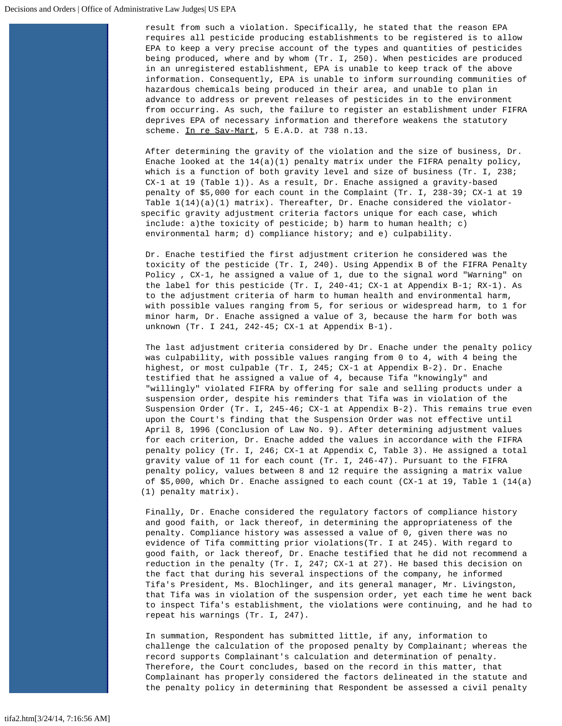result from such a violation. Specifically, he stated that the reason EPA requires all pesticide producing establishments to be registered is to allow EPA to keep a very precise account of the types and quantities of pesticides being produced, where and by whom (Tr. I, 250). When pesticides are produced in an unregistered establishment, EPA is unable to keep track of the above information. Consequently, EPA is unable to inform surrounding communities of hazardous chemicals being produced in their area, and unable to plan in advance to address or prevent releases of pesticides in to the environment from occurring. As such, the failure to register an establishment under FIFRA deprives EPA of necessary information and therefore weakens the statutory scheme. In re Sav-Mart, 5 E.A.D. at 738 n.13.

After determining the gravity of the violation and the size of business, Dr. Enache looked at the  $14(a)(1)$  penalty matrix under the FIFRA penalty policy, which is a function of both gravity level and size of business (Tr. I, 238; CX-1 at 19 (Table 1)). As a result, Dr. Enache assigned a gravity-based penalty of \$5,000 for each count in the Complaint (Tr. I, 238-39; CX-1 at 19 Table  $1(14)(a)(1)$  matrix). Thereafter, Dr. Enache considered the violatorspecific gravity adjustment criteria factors unique for each case, which include: a)the toxicity of pesticide; b) harm to human health; c) environmental harm; d) compliance history; and e) culpability.

Dr. Enache testified the first adjustment criterion he considered was the toxicity of the pesticide (Tr. I, 240). Using Appendix B of the FIFRA Penalty Policy , CX-1, he assigned a value of 1, due to the signal word "Warning" on the label for this pesticide (Tr. I, 240-41; CX-1 at Appendix B-1; RX-1). As to the adjustment criteria of harm to human health and environmental harm, with possible values ranging from 5, for serious or widespread harm, to 1 for minor harm, Dr. Enache assigned a value of 3, because the harm for both was unknown (Tr. I 241, 242-45; CX-1 at Appendix B-1).

The last adjustment criteria considered by Dr. Enache under the penalty policy was culpability, with possible values ranging from 0 to 4, with 4 being the highest, or most culpable (Tr. I, 245; CX-1 at Appendix B-2). Dr. Enache testified that he assigned a value of 4, because Tifa "knowingly" and "willingly" violated FIFRA by offering for sale and selling products under a suspension order, despite his reminders that Tifa was in violation of the Suspension Order (Tr. I, 245-46; CX-1 at Appendix B-2). This remains true even upon the Court's finding that the Suspension Order was not effective until April 8, 1996 (Conclusion of Law No. 9). After determining adjustment values for each criterion, Dr. Enache added the values in accordance with the FIFRA penalty policy (Tr. I, 246; CX-1 at Appendix C, Table 3). He assigned a total gravity value of 11 for each count (Tr. I, 246-47). Pursuant to the FIFRA penalty policy, values between 8 and 12 require the assigning a matrix value of \$5,000, which Dr. Enache assigned to each count (CX-1 at 19, Table 1 (14(a) (1) penalty matrix).

Finally, Dr. Enache considered the regulatory factors of compliance history and good faith, or lack thereof, in determining the appropriateness of the penalty. Compliance history was assessed a value of 0, given there was no evidence of Tifa committing prior violations(Tr. I at 245). With regard to good faith, or lack thereof, Dr. Enache testified that he did not recommend a reduction in the penalty (Tr. I, 247; CX-1 at 27). He based this decision on the fact that during his several inspections of the company, he informed Tifa's President, Ms. Blochlinger, and its general manager, Mr. Livingston, that Tifa was in violation of the suspension order, yet each time he went back to inspect Tifa's establishment, the violations were continuing, and he had to repeat his warnings (Tr. I, 247).

In summation, Respondent has submitted little, if any, information to challenge the calculation of the proposed penalty by Complainant; whereas the record supports Complainant's calculation and determination of penalty. Therefore, the Court concludes, based on the record in this matter, that Complainant has properly considered the factors delineated in the statute and the penalty policy in determining that Respondent be assessed a civil penalty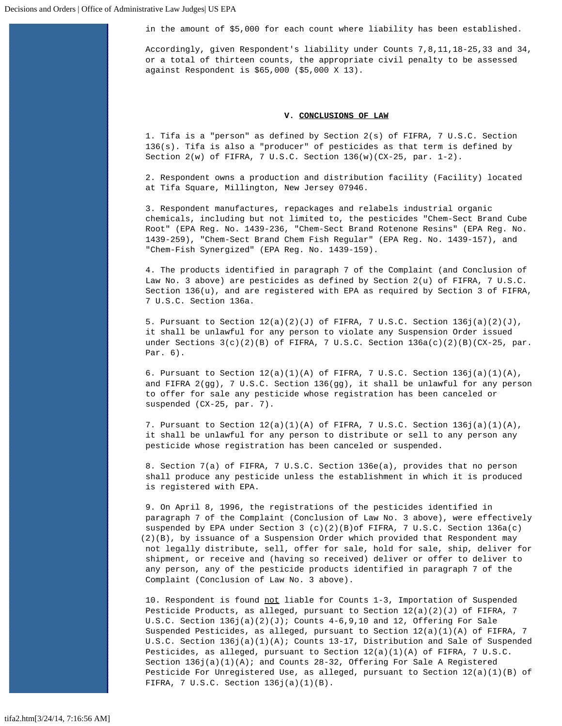in the amount of \$5,000 for each count where liability has been established.

Accordingly, given Respondent's liability under Counts 7,8,11,18-25,33 and 34, or a total of thirteen counts, the appropriate civil penalty to be assessed against Respondent is \$65,000 (\$5,000 X 13).

### **V. CONCLUSIONS OF LAW**

1. Tifa is a "person" as defined by Section 2(s) of FIFRA, 7 U.S.C. Section 136(s). Tifa is also a "producer" of pesticides as that term is defined by Section 2(w) of FIFRA, 7 U.S.C. Section 136(w)(CX-25, par. 1-2).

2. Respondent owns a production and distribution facility (Facility) located at Tifa Square, Millington, New Jersey 07946.

3. Respondent manufactures, repackages and relabels industrial organic chemicals, including but not limited to, the pesticides "Chem-Sect Brand Cube Root" (EPA Reg. No. 1439-236, "Chem-Sect Brand Rotenone Resins" (EPA Reg. No. 1439-259), "Chem-Sect Brand Chem Fish Regular" (EPA Reg. No. 1439-157), and "Chem-Fish Synergized" (EPA Reg. No. 1439-159).

4. The products identified in paragraph 7 of the Complaint (and Conclusion of Law No. 3 above) are pesticides as defined by Section 2(u) of FIFRA, 7 U.S.C. Section 136(u), and are registered with EPA as required by Section 3 of FIFRA, 7 U.S.C. Section 136a.

5. Pursuant to Section  $12(a)(2)(J)$  of FIFRA, 7 U.S.C. Section  $136j(a)(2)(J)$ , it shall be unlawful for any person to violate any Suspension Order issued under Sections  $3(c)(2)(B)$  of FIFRA, 7 U.S.C. Section  $136a(c)(2)(B)(Cx-25$ , par. Par. 6).

6. Pursuant to Section  $12(a)(1)(A)$  of FIFRA, 7 U.S.C. Section  $136j(a)(1)(A)$ , and FIFRA 2(gg), 7 U.S.C. Section 136(gg), it shall be unlawful for any person to offer for sale any pesticide whose registration has been canceled or suspended (CX-25, par. 7).

7. Pursuant to Section  $12(a)(1)(A)$  of FIFRA, 7 U.S.C. Section  $136j(a)(1)(A)$ , it shall be unlawful for any person to distribute or sell to any person any pesticide whose registration has been canceled or suspended.

8. Section 7(a) of FIFRA, 7 U.S.C. Section 136e(a), provides that no person shall produce any pesticide unless the establishment in which it is produced is registered with EPA.

9. On April 8, 1996, the registrations of the pesticides identified in paragraph 7 of the Complaint (Conclusion of Law No. 3 above), were effectively suspended by EPA under Section 3 (c)(2)(B)of FIFRA, 7 U.S.C. Section 136a(c) (2)(B), by issuance of a Suspension Order which provided that Respondent may not legally distribute, sell, offer for sale, hold for sale, ship, deliver for shipment, or receive and (having so received) deliver or offer to deliver to any person, any of the pesticide products identified in paragraph 7 of the Complaint (Conclusion of Law No. 3 above).

10. Respondent is found not liable for Counts 1-3, Importation of Suspended Pesticide Products, as alleged, pursuant to Section  $12(a)(2)(J)$  of FIFRA, 7 U.S.C. Section  $136j(a)(2)(J)$ ; Counts  $4-6,9,10$  and  $12$ , Offering For Sale Suspended Pesticides, as alleged, pursuant to Section  $12(a)(1)(A)$  of FIFRA, 7 U.S.C. Section 136j(a)(1)(A); Counts 13-17, Distribution and Sale of Suspended Pesticides, as alleged, pursuant to Section 12(a)(1)(A) of FIFRA, 7 U.S.C. Section  $136j(a)(1)(A)$ ; and Counts 28-32, Offering For Sale A Registered Pesticide For Unregistered Use, as alleged, pursuant to Section  $12(a)(1)(B)$  of FIFRA, 7 U.S.C. Section 136j(a)(1)(B).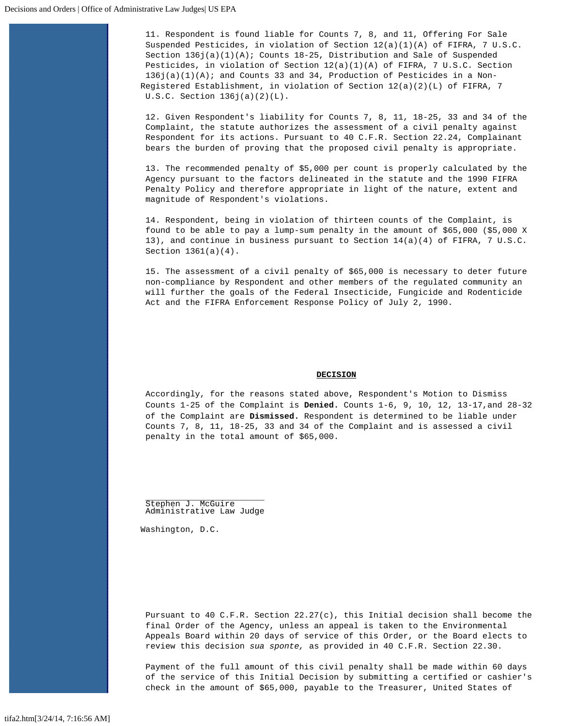11. Respondent is found liable for Counts 7, 8, and 11, Offering For Sale Suspended Pesticides, in violation of Section 12(a)(1)(A) of FIFRA, 7 U.S.C. Section  $136j(a)(1)(A)$ ; Counts  $18-25$ , Distribution and Sale of Suspended Pesticides, in violation of Section 12(a)(1)(A) of FIFRA, 7 U.S.C. Section 136j(a)(1)(A); and Counts 33 and 34, Production of Pesticides in a Non-Registered Establishment, in violation of Section 12(a)(2)(L) of FIFRA, 7 U.S.C. Section 136j(a)(2)(L).

12. Given Respondent's liability for Counts 7, 8, 11, 18-25, 33 and 34 of the Complaint, the statute authorizes the assessment of a civil penalty against Respondent for its actions. Pursuant to 40 C.F.R. Section 22.24, Complainant bears the burden of proving that the proposed civil penalty is appropriate.

13. The recommended penalty of \$5,000 per count is properly calculated by the Agency pursuant to the factors delineated in the statute and the 1990 FIFRA Penalty Policy and therefore appropriate in light of the nature, extent and magnitude of Respondent's violations.

14. Respondent, being in violation of thirteen counts of the Complaint, is found to be able to pay a lump-sum penalty in the amount of \$65,000 (\$5,000 X 13), and continue in business pursuant to Section 14(a)(4) of FIFRA, 7 U.S.C. Section 1361(a)(4).

15. The assessment of a civil penalty of \$65,000 is necessary to deter future non-compliance by Respondent and other members of the regulated community an will further the goals of the Federal Insecticide, Fungicide and Rodenticide Act and the FIFRA Enforcement Response Policy of July 2, 1990.

#### **DECISION**

Accordingly, for the reasons stated above, Respondent's Motion to Dismiss Counts 1-25 of the Complaint is **Denied.** Counts 1-6, 9, 10, 12, 13-17,and 28-32 of the Complaint are **Dismissed.** Respondent is determined to be liable under Counts 7, 8, 11, 18-25, 33 and 34 of the Complaint and is assessed a civil penalty in the total amount of \$65,000.

.<br>Stephen J. McGuire<br>Administrative Law Judge

Washington, D.C.

Pursuant to 40 C.F.R. Section 22.27(c), this Initial decision shall become the final Order of the Agency, unless an appeal is taken to the Environmental Appeals Board within 20 days of service of this Order, or the Board elects to review this decision *sua sponte,* as provided in 40 C.F.R. Section 22.30.

Payment of the full amount of this civil penalty shall be made within 60 days of the service of this Initial Decision by submitting a certified or cashier's check in the amount of \$65,000, payable to the Treasurer, United States of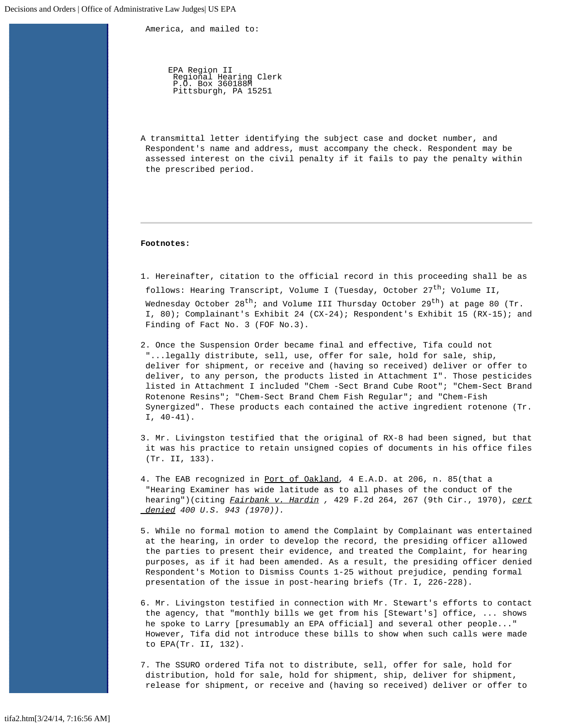America, and mailed to:

EPA Region II Regional Hearing Clerk P.O. Box 360188M Pittsburgh, PA 15251

A transmittal letter identifying the subject case and docket number, and Respondent's name and address, must accompany the check. Respondent may be assessed interest on the civil penalty if it fails to pay the penalty within the prescribed period.

### **Footnotes:**

<span id="page-24-0"></span>1. Hereinafter, citation to the official record in this proceeding shall be as follows: Hearing Transcript, Volume I (Tuesday, October 27<sup>th</sup>; Volume II, Wednesday October  $28^{th}$ ; and Volume III Thursday October  $29^{th}$ ) at page 80 (Tr. I, 80); Complainant's Exhibit 24 (CX-24); Respondent's Exhibit 15 (RX-15); and Finding of Fact No. 3 (FOF No.3).

<span id="page-24-1"></span>2. Once the Suspension Order became final and effective, Tifa could not "...legally distribute, sell, use, offer for sale, hold for sale, ship, deliver for shipment, or receive and (having so received) deliver or offer to deliver, to any person, the products listed in Attachment I". Those pesticides listed in Attachment I included "Chem -Sect Brand Cube Root"; "Chem-Sect Brand Rotenone Resins"; "Chem-Sect Brand Chem Fish Regular"; and "Chem-Fish Synergized". These products each contained the active ingredient rotenone (Tr.  $I, 40-41$ .

<span id="page-24-2"></span>3. Mr. Livingston testified that the original of RX-8 had been signed, but that it was his practice to retain unsigned copies of documents in his office files (Tr. II, 133).

<span id="page-24-3"></span>4. The EAB recognized in Port of Oakland*,* 4 E.A.D. at 206, n. 85(that a "Hearing Examiner has wide latitude as to all phases of the conduct of the hearing")(citing *Fairbank v. Hardin ,* 429 F.2d 264, 267 (9th Cir., 1970), *cert denied 400 U.S. 943 (1970)).*

<span id="page-24-4"></span>5. While no formal motion to amend the Complaint by Complainant was entertained at the hearing, in order to develop the record, the presiding officer allowed the parties to present their evidence, and treated the Complaint, for hearing purposes, as if it had been amended. As a result, the presiding officer denied Respondent's Motion to Dismiss Counts 1-25 without prejudice, pending formal presentation of the issue in post-hearing briefs (Tr. I, 226-228).

<span id="page-24-5"></span>6. Mr. Livingston testified in connection with Mr. Stewart's efforts to contact the agency, that "monthly bills we get from his [Stewart's] office, ... shows he spoke to Larry [presumably an EPA official] and several other people..." However, Tifa did not introduce these bills to show when such calls were made to EPA(Tr. II, 132).

<span id="page-24-6"></span>7. The SSURO ordered Tifa not to distribute, sell, offer for sale, hold for distribution, hold for sale, hold for shipment, ship, deliver for shipment, release for shipment, or receive and (having so received) deliver or offer to